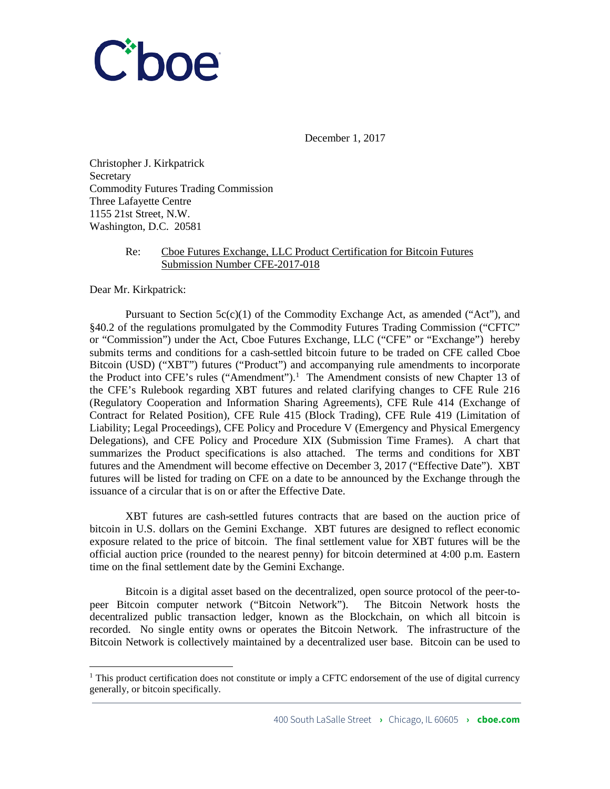

December 1, 2017

Christopher J. Kirkpatrick **Secretary** Commodity Futures Trading Commission Three Lafayette Centre 1155 21st Street, N.W. Washington, D.C. 20581

# Re: Cboe Futures Exchange, LLC Product Certification for Bitcoin Futures Submission Number CFE-2017-018

Dear Mr. Kirkpatrick:

Pursuant to Section  $5c(c)(1)$  of the Commodity Exchange Act, as amended ("Act"), and §40.2 of the regulations promulgated by the Commodity Futures Trading Commission ("CFTC" or "Commission") under the Act, Cboe Futures Exchange, LLC ("CFE" or "Exchange") hereby submits terms and conditions for a cash-settled bitcoin future to be traded on CFE called Cboe Bitcoin (USD) ("XBT") futures ("Product") and accompanying rule amendments to incorporate the Product into CFE's rules ("Amendment").<sup>[1](#page-0-0)</sup> The Amendment consists of new Chapter 13 of the CFE's Rulebook regarding XBT futures and related clarifying changes to CFE Rule 216 (Regulatory Cooperation and Information Sharing Agreements), CFE Rule 414 (Exchange of Contract for Related Position), CFE Rule 415 (Block Trading), CFE Rule 419 (Limitation of Liability; Legal Proceedings), CFE Policy and Procedure V (Emergency and Physical Emergency Delegations), and CFE Policy and Procedure XIX (Submission Time Frames). A chart that summarizes the Product specifications is also attached. The terms and conditions for XBT futures and the Amendment will become effective on December 3, 2017 ("Effective Date"). XBT futures will be listed for trading on CFE on a date to be announced by the Exchange through the issuance of a circular that is on or after the Effective Date.

XBT futures are cash-settled futures contracts that are based on the auction price of bitcoin in U.S. dollars on the Gemini Exchange. XBT futures are designed to reflect economic exposure related to the price of bitcoin. The final settlement value for XBT futures will be the official auction price (rounded to the nearest penny) for bitcoin determined at 4:00 p.m. Eastern time on the final settlement date by the Gemini Exchange.

Bitcoin is a digital asset based on the decentralized, open source protocol of the peer-topeer Bitcoin computer network ("Bitcoin Network"). The Bitcoin Network hosts the decentralized public transaction ledger, known as the Blockchain, on which all bitcoin is recorded. No single entity owns or operates the Bitcoin Network. The infrastructure of the Bitcoin Network is collectively maintained by a decentralized user base. Bitcoin can be used to

<span id="page-0-0"></span><sup>&</sup>lt;sup>1</sup> This product certification does not constitute or imply a CFTC endorsement of the use of digital currency generally, or bitcoin specifically.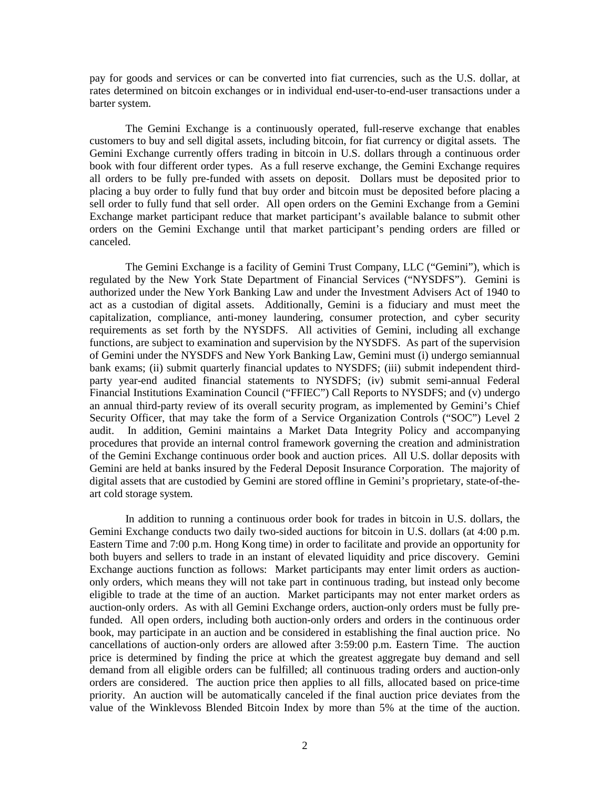pay for goods and services or can be converted into fiat currencies, such as the U.S. dollar, at rates determined on bitcoin exchanges or in individual end-user-to-end-user transactions under a barter system.

The Gemini Exchange is a continuously operated, full-reserve exchange that enables customers to buy and sell digital assets, including bitcoin, for fiat currency or digital assets. The Gemini Exchange currently offers trading in bitcoin in U.S. dollars through a continuous order book with four different order types. As a full reserve exchange, the Gemini Exchange requires all orders to be fully pre-funded with assets on deposit. Dollars must be deposited prior to placing a buy order to fully fund that buy order and bitcoin must be deposited before placing a sell order to fully fund that sell order. All open orders on the Gemini Exchange from a Gemini Exchange market participant reduce that market participant's available balance to submit other orders on the Gemini Exchange until that market participant's pending orders are filled or canceled.

The Gemini Exchange is a facility of Gemini Trust Company, LLC ("Gemini"), which is regulated by the New York State Department of Financial Services ("NYSDFS"). Gemini is authorized under the New York Banking Law and under the Investment Advisers Act of 1940 to act as a custodian of digital assets. Additionally, Gemini is a fiduciary and must meet the capitalization, compliance, anti-money laundering, consumer protection, and cyber security requirements as set forth by the NYSDFS. All activities of Gemini, including all exchange functions, are subject to examination and supervision by the NYSDFS. As part of the supervision of Gemini under the NYSDFS and New York Banking Law, Gemini must (i) undergo semiannual bank exams; (ii) submit quarterly financial updates to NYSDFS; (iii) submit independent thirdparty year-end audited financial statements to NYSDFS; (iv) submit semi-annual Federal Financial Institutions Examination Council ("FFIEC") Call Reports to NYSDFS; and (v) undergo an annual third-party review of its overall security program, as implemented by Gemini's Chief Security Officer, that may take the form of a Service Organization Controls ("SOC") Level 2 audit. In addition, Gemini maintains a Market Data Integrity Policy and accompanying procedures that provide an internal control framework governing the creation and administration of the Gemini Exchange continuous order book and auction prices. All U.S. dollar deposits with Gemini are held at banks insured by the Federal Deposit Insurance Corporation. The majority of digital assets that are custodied by Gemini are stored offline in Gemini's proprietary, state-of-theart cold storage system.

In addition to running a continuous order book for trades in bitcoin in U.S. dollars, the Gemini Exchange conducts two daily two-sided auctions for bitcoin in U.S. dollars (at 4:00 p.m. Eastern Time and 7:00 p.m. Hong Kong time) in order to facilitate and provide an opportunity for both buyers and sellers to trade in an instant of elevated liquidity and price discovery. Gemini Exchange auctions function as follows: Market participants may enter limit orders as auctiononly orders, which means they will not take part in continuous trading, but instead only become eligible to trade at the time of an auction. Market participants may not enter market orders as auction-only orders. As with all Gemini Exchange orders, auction-only orders must be fully prefunded. All open orders, including both auction-only orders and orders in the continuous order book, may participate in an auction and be considered in establishing the final auction price. No cancellations of auction-only orders are allowed after 3:59:00 p.m. Eastern Time. The auction price is determined by finding the price at which the greatest aggregate buy demand and sell demand from all eligible orders can be fulfilled; all continuous trading orders and auction-only orders are considered. The auction price then applies to all fills, allocated based on price-time priority. An auction will be automatically canceled if the final auction price deviates from the value of the Winklevoss Blended Bitcoin Index by more than 5% at the time of the auction.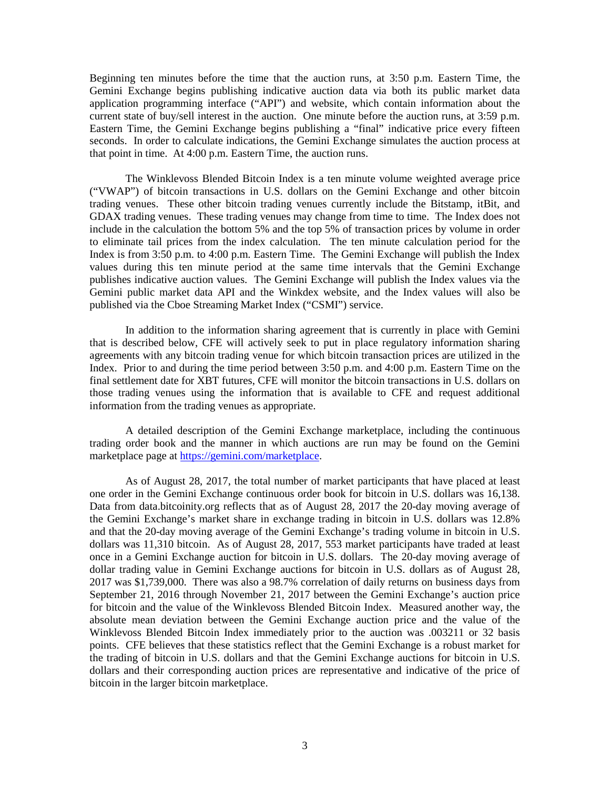Beginning ten minutes before the time that the auction runs, at 3:50 p.m. Eastern Time, the Gemini Exchange begins publishing indicative auction data via both its public market data application programming interface ("API") and website, which contain information about the current state of buy/sell interest in the auction. One minute before the auction runs, at 3:59 p.m. Eastern Time, the Gemini Exchange begins publishing a "final" indicative price every fifteen seconds. In order to calculate indications, the Gemini Exchange simulates the auction process at that point in time. At 4:00 p.m. Eastern Time, the auction runs.

The Winklevoss Blended Bitcoin Index is a ten minute volume weighted average price ("VWAP") of bitcoin transactions in U.S. dollars on the Gemini Exchange and other bitcoin trading venues. These other bitcoin trading venues currently include the Bitstamp, itBit, and GDAX trading venues. These trading venues may change from time to time. The Index does not include in the calculation the bottom 5% and the top 5% of transaction prices by volume in order to eliminate tail prices from the index calculation. The ten minute calculation period for the Index is from 3:50 p.m. to 4:00 p.m. Eastern Time. The Gemini Exchange will publish the Index values during this ten minute period at the same time intervals that the Gemini Exchange publishes indicative auction values. The Gemini Exchange will publish the Index values via the Gemini public market data API and the Winkdex website, and the Index values will also be published via the Cboe Streaming Market Index ("CSMI") service.

In addition to the information sharing agreement that is currently in place with Gemini that is described below, CFE will actively seek to put in place regulatory information sharing agreements with any bitcoin trading venue for which bitcoin transaction prices are utilized in the Index. Prior to and during the time period between 3:50 p.m. and 4:00 p.m. Eastern Time on the final settlement date for XBT futures, CFE will monitor the bitcoin transactions in U.S. dollars on those trading venues using the information that is available to CFE and request additional information from the trading venues as appropriate.

A detailed description of the Gemini Exchange marketplace, including the continuous trading order book and the manner in which auctions are run may be found on the Gemini marketplace page at [https://gemini.com/marketplace.](https://gemini.com/marketplace)

As of August 28, 2017, the total number of market participants that have placed at least one order in the Gemini Exchange continuous order book for bitcoin in U.S. dollars was 16,138. Data from data.bitcoinity.org reflects that as of August 28, 2017 the 20-day moving average of the Gemini Exchange's market share in exchange trading in bitcoin in U.S. dollars was 12.8% and that the 20-day moving average of the Gemini Exchange's trading volume in bitcoin in U.S. dollars was 11,310 bitcoin. As of August 28, 2017, 553 market participants have traded at least once in a Gemini Exchange auction for bitcoin in U.S. dollars. The 20-day moving average of dollar trading value in Gemini Exchange auctions for bitcoin in U.S. dollars as of August 28, 2017 was \$1,739,000. There was also a 98.7% correlation of daily returns on business days from September 21, 2016 through November 21, 2017 between the Gemini Exchange's auction price for bitcoin and the value of the Winklevoss Blended Bitcoin Index. Measured another way, the absolute mean deviation between the Gemini Exchange auction price and the value of the Winklevoss Blended Bitcoin Index immediately prior to the auction was .003211 or 32 basis points. CFE believes that these statistics reflect that the Gemini Exchange is a robust market for the trading of bitcoin in U.S. dollars and that the Gemini Exchange auctions for bitcoin in U.S. dollars and their corresponding auction prices are representative and indicative of the price of bitcoin in the larger bitcoin marketplace.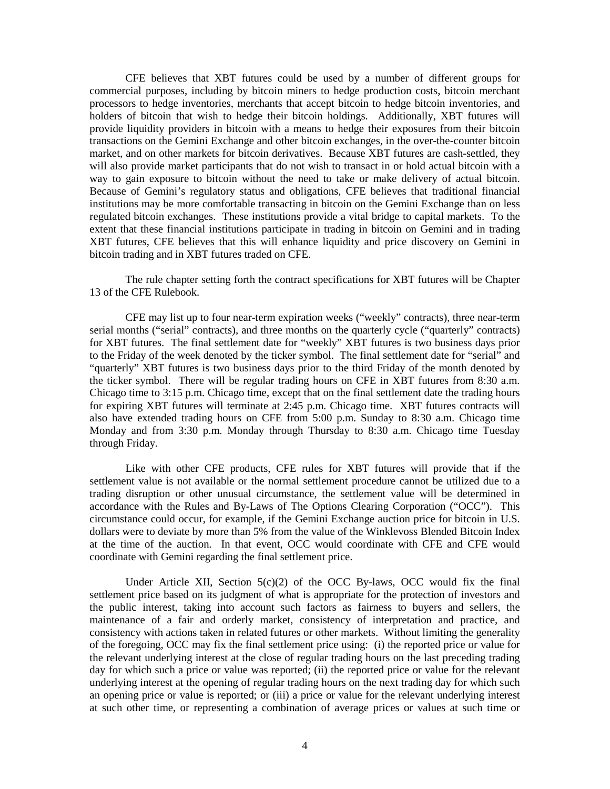CFE believes that XBT futures could be used by a number of different groups for commercial purposes, including by bitcoin miners to hedge production costs, bitcoin merchant processors to hedge inventories, merchants that accept bitcoin to hedge bitcoin inventories, and holders of bitcoin that wish to hedge their bitcoin holdings. Additionally, XBT futures will provide liquidity providers in bitcoin with a means to hedge their exposures from their bitcoin transactions on the Gemini Exchange and other bitcoin exchanges, in the over-the-counter bitcoin market, and on other markets for bitcoin derivatives. Because XBT futures are cash-settled, they will also provide market participants that do not wish to transact in or hold actual bitcoin with a way to gain exposure to bitcoin without the need to take or make delivery of actual bitcoin. Because of Gemini's regulatory status and obligations, CFE believes that traditional financial institutions may be more comfortable transacting in bitcoin on the Gemini Exchange than on less regulated bitcoin exchanges. These institutions provide a vital bridge to capital markets. To the extent that these financial institutions participate in trading in bitcoin on Gemini and in trading XBT futures, CFE believes that this will enhance liquidity and price discovery on Gemini in bitcoin trading and in XBT futures traded on CFE.

The rule chapter setting forth the contract specifications for XBT futures will be Chapter 13 of the CFE Rulebook.

CFE may list up to four near-term expiration weeks ("weekly" contracts), three near-term serial months ("serial" contracts), and three months on the quarterly cycle ("quarterly" contracts) for XBT futures. The final settlement date for "weekly" XBT futures is two business days prior to the Friday of the week denoted by the ticker symbol. The final settlement date for "serial" and "quarterly" XBT futures is two business days prior to the third Friday of the month denoted by the ticker symbol. There will be regular trading hours on CFE in XBT futures from 8:30 a.m. Chicago time to 3:15 p.m. Chicago time, except that on the final settlement date the trading hours for expiring XBT futures will terminate at 2:45 p.m. Chicago time. XBT futures contracts will also have extended trading hours on CFE from 5:00 p.m. Sunday to 8:30 a.m. Chicago time Monday and from 3:30 p.m. Monday through Thursday to 8:30 a.m. Chicago time Tuesday through Friday.

Like with other CFE products, CFE rules for XBT futures will provide that if the settlement value is not available or the normal settlement procedure cannot be utilized due to a trading disruption or other unusual circumstance, the settlement value will be determined in accordance with the Rules and By-Laws of The Options Clearing Corporation ("OCC"). This circumstance could occur, for example, if the Gemini Exchange auction price for bitcoin in U.S. dollars were to deviate by more than 5% from the value of the Winklevoss Blended Bitcoin Index at the time of the auction. In that event, OCC would coordinate with CFE and CFE would coordinate with Gemini regarding the final settlement price.

Under Article XII, Section  $5(c)(2)$  of the OCC By-laws, OCC would fix the final settlement price based on its judgment of what is appropriate for the protection of investors and the public interest, taking into account such factors as fairness to buyers and sellers, the maintenance of a fair and orderly market, consistency of interpretation and practice, and consistency with actions taken in related futures or other markets. Without limiting the generality of the foregoing, OCC may fix the final settlement price using: (i) the reported price or value for the relevant underlying interest at the close of regular trading hours on the last preceding trading day for which such a price or value was reported; (ii) the reported price or value for the relevant underlying interest at the opening of regular trading hours on the next trading day for which such an opening price or value is reported; or (iii) a price or value for the relevant underlying interest at such other time, or representing a combination of average prices or values at such time or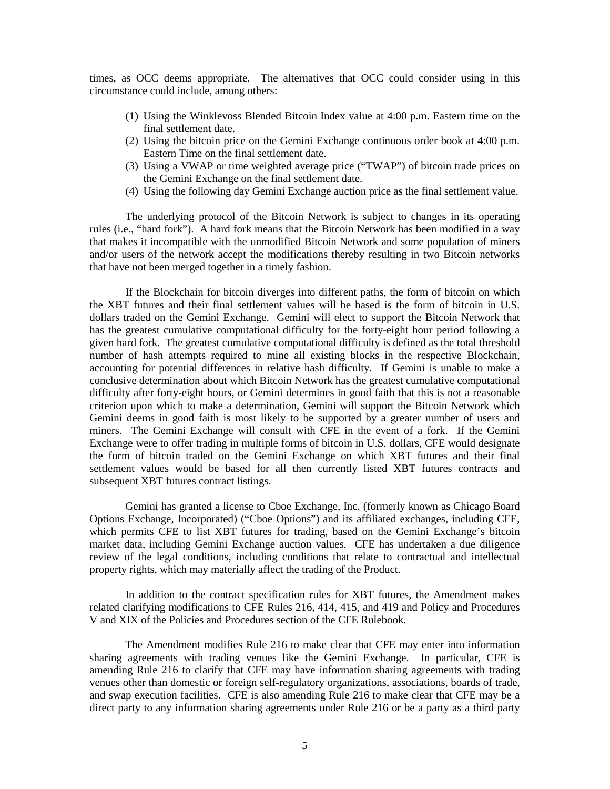times, as OCC deems appropriate. The alternatives that OCC could consider using in this circumstance could include, among others:

- (1) Using the Winklevoss Blended Bitcoin Index value at 4:00 p.m. Eastern time on the final settlement date.
- (2) Using the bitcoin price on the Gemini Exchange continuous order book at 4:00 p.m. Eastern Time on the final settlement date.
- (3) Using a VWAP or time weighted average price ("TWAP") of bitcoin trade prices on the Gemini Exchange on the final settlement date.
- (4) Using the following day Gemini Exchange auction price as the final settlement value.

The underlying protocol of the Bitcoin Network is subject to changes in its operating rules (i.e., "hard fork"). A hard fork means that the Bitcoin Network has been modified in a way that makes it incompatible with the unmodified Bitcoin Network and some population of miners and/or users of the network accept the modifications thereby resulting in two Bitcoin networks that have not been merged together in a timely fashion.

If the Blockchain for bitcoin diverges into different paths, the form of bitcoin on which the XBT futures and their final settlement values will be based is the form of bitcoin in U.S. dollars traded on the Gemini Exchange. Gemini will elect to support the Bitcoin Network that has the greatest cumulative computational difficulty for the forty-eight hour period following a given hard fork. The greatest cumulative computational difficulty is defined as the total threshold number of hash attempts required to mine all existing blocks in the respective Blockchain, accounting for potential differences in relative hash difficulty. If Gemini is unable to make a conclusive determination about which Bitcoin Network has the greatest cumulative computational difficulty after forty-eight hours, or Gemini determines in good faith that this is not a reasonable criterion upon which to make a determination, Gemini will support the Bitcoin Network which Gemini deems in good faith is most likely to be supported by a greater number of users and miners. The Gemini Exchange will consult with CFE in the event of a fork. If the Gemini Exchange were to offer trading in multiple forms of bitcoin in U.S. dollars, CFE would designate the form of bitcoin traded on the Gemini Exchange on which XBT futures and their final settlement values would be based for all then currently listed XBT futures contracts and subsequent XBT futures contract listings.

Gemini has granted a license to Cboe Exchange, Inc. (formerly known as Chicago Board Options Exchange, Incorporated) ("Cboe Options") and its affiliated exchanges, including CFE, which permits CFE to list XBT futures for trading, based on the Gemini Exchange's bitcoin market data, including Gemini Exchange auction values. CFE has undertaken a due diligence review of the legal conditions, including conditions that relate to contractual and intellectual property rights, which may materially affect the trading of the Product.

In addition to the contract specification rules for XBT futures, the Amendment makes related clarifying modifications to CFE Rules 216, 414, 415, and 419 and Policy and Procedures V and XIX of the Policies and Procedures section of the CFE Rulebook.

The Amendment modifies Rule 216 to make clear that CFE may enter into information sharing agreements with trading venues like the Gemini Exchange. In particular, CFE is amending Rule 216 to clarify that CFE may have information sharing agreements with trading venues other than domestic or foreign self-regulatory organizations, associations, boards of trade, and swap execution facilities. CFE is also amending Rule 216 to make clear that CFE may be a direct party to any information sharing agreements under Rule 216 or be a party as a third party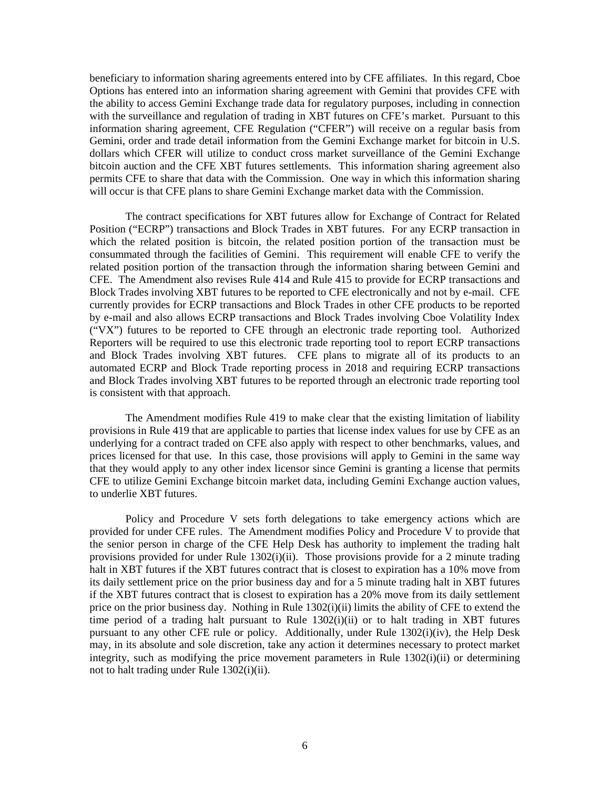beneficiary to information sharing agreements entered into by CFE affiliates. In this regard, Cboe Options has entered into an information sharing agreement with Gemini that provides CFE with the ability to access Gemini Exchange trade data for regulatory purposes, including in connection with the surveillance and regulation of trading in XBT futures on CFE's market. Pursuant to this information sharing agreement, CFE Regulation ("CFER") will receive on a regular basis from Gemini, order and trade detail information from the Gemini Exchange market for bitcoin in U.S. dollars which CFER will utilize to conduct cross market surveillance of the Gemini Exchange bitcoin auction and the CFE XBT futures settlements. This information sharing agreement also permits CFE to share that data with the Commission. One way in which this information sharing will occur is that CFE plans to share Gemini Exchange market data with the Commission.

The contract specifications for XBT futures allow for Exchange of Contract for Related Position ("ECRP") transactions and Block Trades in XBT futures. For any ECRP transaction in which the related position is bitcoin, the related position portion of the transaction must be consummated through the facilities of Gemini. This requirement will enable CFE to verify the related position portion of the transaction through the information sharing between Gemini and CFE. The Amendment also revises Rule 414 and Rule 415 to provide for ECRP transactions and Block Trades involving XBT futures to be reported to CFE electronically and not by e-mail. CFE currently provides for ECRP transactions and Block Trades in other CFE products to be reported by e-mail and also allows ECRP transactions and Block Trades involving Cboe Volatility Index ("VX") futures to be reported to CFE through an electronic trade reporting tool. Authorized Reporters will be required to use this electronic trade reporting tool to report ECRP transactions and Block Trades involving XBT futures. CFE plans to migrate all of its products to an automated ECRP and Block Trade reporting process in 2018 and requiring ECRP transactions and Block Trades involving XBT futures to be reported through an electronic trade reporting tool is consistent with that approach.

The Amendment modifies Rule 419 to make clear that the existing limitation of liability provisions in Rule 419 that are applicable to parties that license index values for use by CFE as an underlying for a contract traded on CFE also apply with respect to other benchmarks, values, and prices licensed for that use. In this case, those provisions will apply to Gemini in the same way that they would apply to any other index licensor since Gemini is granting a license that permits CFE to utilize Gemini Exchange bitcoin market data, including Gemini Exchange auction values, to underlie XBT futures.

Policy and Procedure V sets forth delegations to take emergency actions which are provided for under CFE rules. The Amendment modifies Policy and Procedure V to provide that the senior person in charge of the CFE Help Desk has authority to implement the trading halt provisions provided for under Rule  $1302(i)(ii)$ . Those provisions provide for a 2 minute trading halt in XBT futures if the XBT futures contract that is closest to expiration has a 10% move from its daily settlement price on the prior business day and for a 5 minute trading halt in XBT futures if the XBT futures contract that is closest to expiration has a 20% move from its daily settlement price on the prior business day. Nothing in Rule 1302(i)(ii) limits the ability of CFE to extend the time period of a trading halt pursuant to Rule 1302(i)(ii) or to halt trading in XBT futures pursuant to any other CFE rule or policy. Additionally, under Rule 1302(i)(iv), the Help Desk may, in its absolute and sole discretion, take any action it determines necessary to protect market integrity, such as modifying the price movement parameters in Rule 1302(i)(ii) or determining not to halt trading under Rule 1302(i)(ii).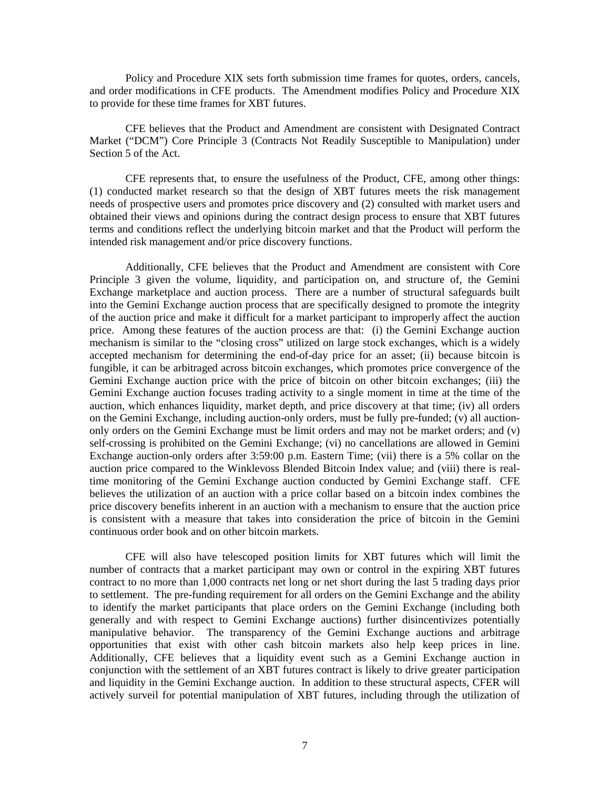Policy and Procedure XIX sets forth submission time frames for quotes, orders, cancels, and order modifications in CFE products. The Amendment modifies Policy and Procedure XIX to provide for these time frames for XBT futures.

CFE believes that the Product and Amendment are consistent with Designated Contract Market ("DCM") Core Principle 3 (Contracts Not Readily Susceptible to Manipulation) under Section 5 of the Act.

CFE represents that, to ensure the usefulness of the Product, CFE, among other things: (1) conducted market research so that the design of XBT futures meets the risk management needs of prospective users and promotes price discovery and (2) consulted with market users and obtained their views and opinions during the contract design process to ensure that XBT futures terms and conditions reflect the underlying bitcoin market and that the Product will perform the intended risk management and/or price discovery functions.

Additionally, CFE believes that the Product and Amendment are consistent with Core Principle 3 given the volume, liquidity, and participation on, and structure of, the Gemini Exchange marketplace and auction process. There are a number of structural safeguards built into the Gemini Exchange auction process that are specifically designed to promote the integrity of the auction price and make it difficult for a market participant to improperly affect the auction price. Among these features of the auction process are that: (i) the Gemini Exchange auction mechanism is similar to the "closing cross" utilized on large stock exchanges, which is a widely accepted mechanism for determining the end-of-day price for an asset; (ii) because bitcoin is fungible, it can be arbitraged across bitcoin exchanges, which promotes price convergence of the Gemini Exchange auction price with the price of bitcoin on other bitcoin exchanges; (iii) the Gemini Exchange auction focuses trading activity to a single moment in time at the time of the auction, which enhances liquidity, market depth, and price discovery at that time; (iv) all orders on the Gemini Exchange, including auction-only orders, must be fully pre-funded;  $(v)$  all auctiononly orders on the Gemini Exchange must be limit orders and may not be market orders; and (v) self-crossing is prohibited on the Gemini Exchange; (vi) no cancellations are allowed in Gemini Exchange auction-only orders after 3:59:00 p.m. Eastern Time; (vii) there is a 5% collar on the auction price compared to the Winklevoss Blended Bitcoin Index value; and (viii) there is realtime monitoring of the Gemini Exchange auction conducted by Gemini Exchange staff. CFE believes the utilization of an auction with a price collar based on a bitcoin index combines the price discovery benefits inherent in an auction with a mechanism to ensure that the auction price is consistent with a measure that takes into consideration the price of bitcoin in the Gemini continuous order book and on other bitcoin markets.

CFE will also have telescoped position limits for XBT futures which will limit the number of contracts that a market participant may own or control in the expiring XBT futures contract to no more than 1,000 contracts net long or net short during the last 5 trading days prior to settlement. The pre-funding requirement for all orders on the Gemini Exchange and the ability to identify the market participants that place orders on the Gemini Exchange (including both generally and with respect to Gemini Exchange auctions) further disincentivizes potentially manipulative behavior. The transparency of the Gemini Exchange auctions and arbitrage opportunities that exist with other cash bitcoin markets also help keep prices in line. Additionally, CFE believes that a liquidity event such as a Gemini Exchange auction in conjunction with the settlement of an XBT futures contract is likely to drive greater participation and liquidity in the Gemini Exchange auction. In addition to these structural aspects, CFER will actively surveil for potential manipulation of XBT futures, including through the utilization of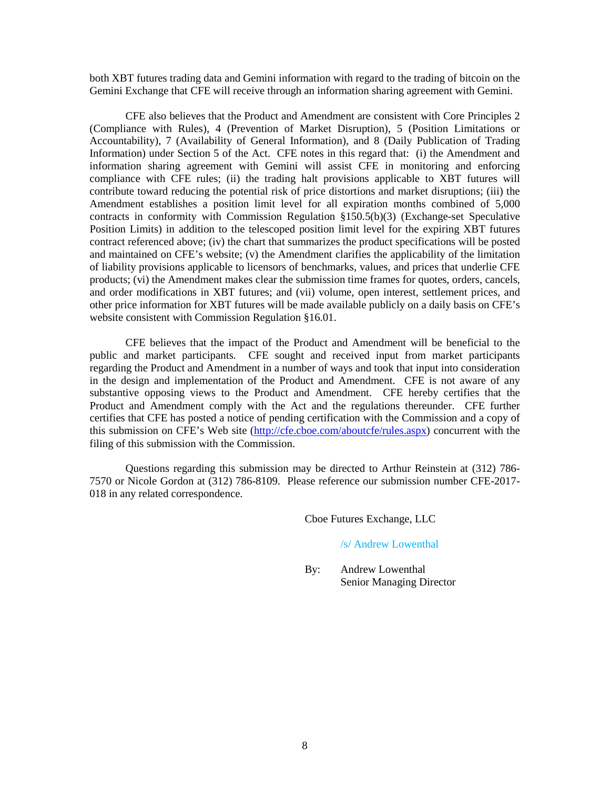both XBT futures trading data and Gemini information with regard to the trading of bitcoin on the Gemini Exchange that CFE will receive through an information sharing agreement with Gemini.

CFE also believes that the Product and Amendment are consistent with Core Principles 2 (Compliance with Rules), 4 (Prevention of Market Disruption), 5 (Position Limitations or Accountability), 7 (Availability of General Information), and 8 (Daily Publication of Trading Information) under Section 5 of the Act. CFE notes in this regard that: (i) the Amendment and information sharing agreement with Gemini will assist CFE in monitoring and enforcing compliance with CFE rules; (ii) the trading halt provisions applicable to XBT futures will contribute toward reducing the potential risk of price distortions and market disruptions; (iii) the Amendment establishes a position limit level for all expiration months combined of 5,000 contracts in conformity with Commission Regulation §150.5(b)(3) (Exchange-set Speculative Position Limits) in addition to the telescoped position limit level for the expiring XBT futures contract referenced above; (iv) the chart that summarizes the product specifications will be posted and maintained on CFE's website; (v) the Amendment clarifies the applicability of the limitation of liability provisions applicable to licensors of benchmarks, values, and prices that underlie CFE products; (vi) the Amendment makes clear the submission time frames for quotes, orders, cancels, and order modifications in XBT futures; and (vii) volume, open interest, settlement prices, and other price information for XBT futures will be made available publicly on a daily basis on CFE's website consistent with Commission Regulation §16.01.

CFE believes that the impact of the Product and Amendment will be beneficial to the public and market participants. CFE sought and received input from market participants regarding the Product and Amendment in a number of ways and took that input into consideration in the design and implementation of the Product and Amendment. CFE is not aware of any substantive opposing views to the Product and Amendment. CFE hereby certifies that the Product and Amendment comply with the Act and the regulations thereunder. CFE further certifies that CFE has posted a notice of pending certification with the Commission and a copy of this submission on CFE's Web site [\(http://cfe.cboe.com/aboutcfe/rules.aspx\)](http://cfe.cboe.com/aboutcfe/rules.aspx) concurrent with the filing of this submission with the Commission.

Questions regarding this submission may be directed to Arthur Reinstein at (312) 786- 7570 or Nicole Gordon at (312) 786-8109. Please reference our submission number CFE-2017- 018 in any related correspondence.

Cboe Futures Exchange, LLC

### /s/ Andrew Lowenthal

By: Andrew Lowenthal Senior Managing Director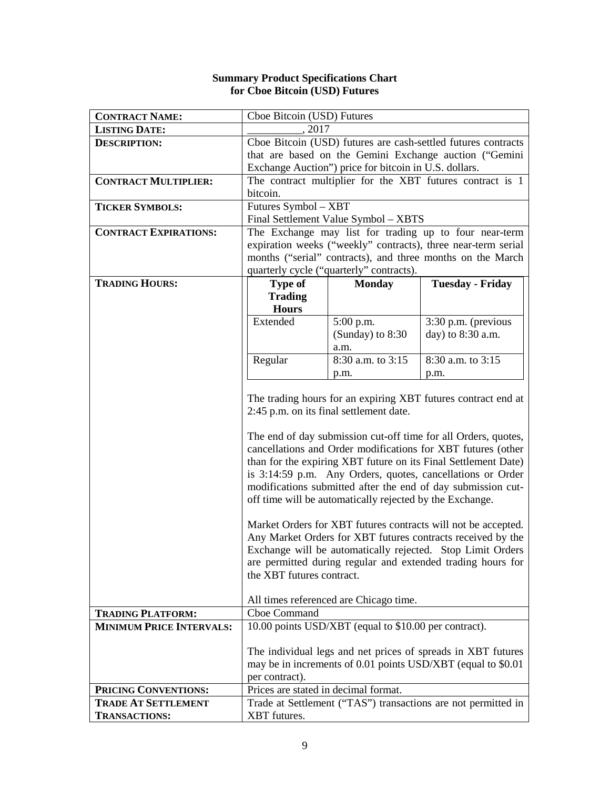## **Summary Product Specifications Chart for Cboe Bitcoin (USD) Futures**

| <b>CONTRACT NAME:</b>           | Cboe Bitcoin (USD) Futures                                    |                                                          |                                                                |  |
|---------------------------------|---------------------------------------------------------------|----------------------------------------------------------|----------------------------------------------------------------|--|
| <b>LISTING DATE:</b>            | , 2017                                                        |                                                          |                                                                |  |
| <b>DESCRIPTION:</b>             | Cboe Bitcoin (USD) futures are cash-settled futures contracts |                                                          |                                                                |  |
|                                 |                                                               |                                                          | that are based on the Gemini Exchange auction ("Gemini         |  |
|                                 |                                                               | Exchange Auction") price for bitcoin in U.S. dollars.    |                                                                |  |
| <b>CONTRACT MULTIPLIER:</b>     |                                                               |                                                          | The contract multiplier for the XBT futures contract is 1      |  |
|                                 | bitcoin.                                                      |                                                          |                                                                |  |
| <b>TICKER SYMBOLS:</b>          | Futures Symbol - XBT                                          |                                                          |                                                                |  |
|                                 |                                                               | Final Settlement Value Symbol - XBTS                     |                                                                |  |
| <b>CONTRACT EXPIRATIONS:</b>    |                                                               |                                                          | The Exchange may list for trading up to four near-term         |  |
|                                 |                                                               |                                                          | expiration weeks ("weekly" contracts), three near-term serial  |  |
|                                 |                                                               |                                                          | months ("serial" contracts), and three months on the March     |  |
|                                 |                                                               | quarterly cycle ("quarterly" contracts).                 |                                                                |  |
| <b>TRADING HOURS:</b>           | <b>Type of</b>                                                | <b>Monday</b>                                            | <b>Tuesday - Friday</b>                                        |  |
|                                 | <b>Trading</b><br><b>Hours</b>                                |                                                          |                                                                |  |
|                                 | Extended                                                      | 5:00 p.m.                                                | 3:30 p.m. (previous                                            |  |
|                                 |                                                               | (Sunday) to $8:30$                                       | day) to 8:30 a.m.                                              |  |
|                                 |                                                               | a.m.                                                     |                                                                |  |
|                                 | Regular<br>8:30 a.m. to 3:15<br>8:30 a.m. to 3:15             |                                                          |                                                                |  |
|                                 | p.m.<br>p.m.                                                  |                                                          |                                                                |  |
|                                 |                                                               |                                                          |                                                                |  |
|                                 | The trading hours for an expiring XBT futures contract end at |                                                          |                                                                |  |
|                                 |                                                               | 2:45 p.m. on its final settlement date.                  |                                                                |  |
|                                 |                                                               |                                                          |                                                                |  |
|                                 |                                                               |                                                          | The end of day submission cut-off time for all Orders, quotes, |  |
|                                 |                                                               |                                                          | cancellations and Order modifications for XBT futures (other   |  |
|                                 |                                                               |                                                          | than for the expiring XBT future on its Final Settlement Date) |  |
|                                 |                                                               |                                                          | is 3:14:59 p.m. Any Orders, quotes, cancellations or Order     |  |
|                                 |                                                               |                                                          | modifications submitted after the end of day submission cut-   |  |
|                                 |                                                               | off time will be automatically rejected by the Exchange. |                                                                |  |
|                                 | Market Orders for XBT futures contracts will not be accepted. |                                                          |                                                                |  |
|                                 | Any Market Orders for XBT futures contracts received by the   |                                                          |                                                                |  |
|                                 | Exchange will be automatically rejected. Stop Limit Orders    |                                                          |                                                                |  |
|                                 | are permitted during regular and extended trading hours for   |                                                          |                                                                |  |
|                                 | the XBT futures contract.                                     |                                                          |                                                                |  |
|                                 |                                                               |                                                          |                                                                |  |
|                                 | All times referenced are Chicago time.                        |                                                          |                                                                |  |
| <b>TRADING PLATFORM:</b>        | Cboe Command                                                  |                                                          |                                                                |  |
| <b>MINIMUM PRICE INTERVALS:</b> | 10.00 points USD/XBT (equal to \$10.00 per contract).         |                                                          |                                                                |  |
|                                 |                                                               |                                                          |                                                                |  |
|                                 | The individual legs and net prices of spreads in XBT futures  |                                                          |                                                                |  |
|                                 | may be in increments of 0.01 points USD/XBT (equal to \$0.01  |                                                          |                                                                |  |
|                                 | per contract).                                                |                                                          |                                                                |  |
| PRICING CONVENTIONS:            | Prices are stated in decimal format.                          |                                                          |                                                                |  |
| <b>TRADE AT SETTLEMENT</b>      | Trade at Settlement ("TAS") transactions are not permitted in |                                                          |                                                                |  |
| <b>TRANSACTIONS:</b>            | XBT futures.                                                  |                                                          |                                                                |  |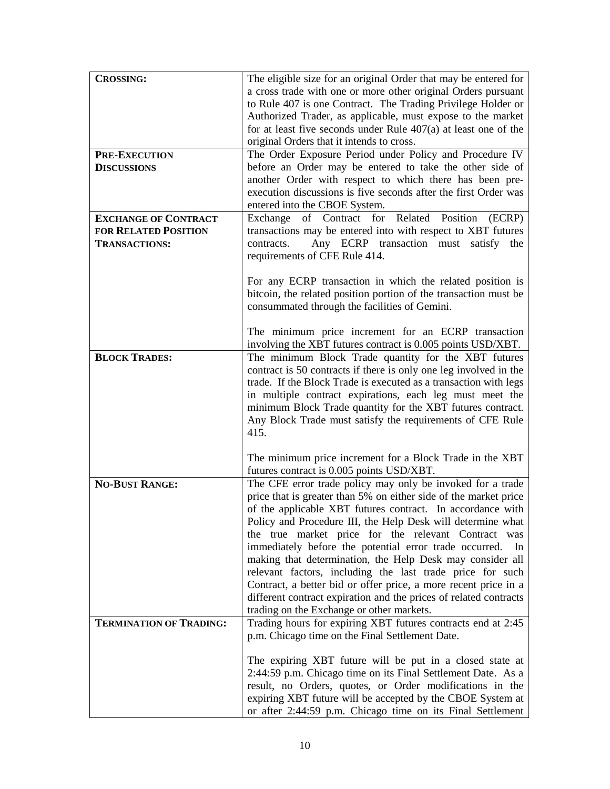| <b>CROSSING:</b>               | The eligible size for an original Order that may be entered for   |
|--------------------------------|-------------------------------------------------------------------|
|                                | a cross trade with one or more other original Orders pursuant     |
|                                | to Rule 407 is one Contract. The Trading Privilege Holder or      |
|                                | Authorized Trader, as applicable, must expose to the market       |
|                                | for at least five seconds under Rule $407(a)$ at least one of the |
|                                | original Orders that it intends to cross.                         |
| <b>PRE-EXECUTION</b>           | The Order Exposure Period under Policy and Procedure IV           |
| <b>DISCUSSIONS</b>             | before an Order may be entered to take the other side of          |
|                                | another Order with respect to which there has been pre-           |
|                                | execution discussions is five seconds after the first Order was   |
|                                | entered into the CBOE System.                                     |
| <b>EXCHANGE OF CONTRACT</b>    | of Contract for Related Position<br>Exchange<br>(ECRP)            |
| <b>FOR RELATED POSITION</b>    | transactions may be entered into with respect to XBT futures      |
| <b>TRANSACTIONS:</b>           | Any ECRP transaction must satisfy the<br>contracts.               |
|                                | requirements of CFE Rule 414.                                     |
|                                |                                                                   |
|                                | For any ECRP transaction in which the related position is         |
|                                | bitcoin, the related position portion of the transaction must be  |
|                                | consummated through the facilities of Gemini.                     |
|                                |                                                                   |
|                                | The minimum price increment for an ECRP transaction               |
|                                | involving the XBT futures contract is 0.005 points USD/XBT.       |
| <b>BLOCK TRADES:</b>           | The minimum Block Trade quantity for the XBT futures              |
|                                | contract is 50 contracts if there is only one leg involved in the |
|                                | trade. If the Block Trade is executed as a transaction with legs  |
|                                | in multiple contract expirations, each leg must meet the          |
|                                | minimum Block Trade quantity for the XBT futures contract.        |
|                                | Any Block Trade must satisfy the requirements of CFE Rule         |
|                                | 415.                                                              |
|                                |                                                                   |
|                                | The minimum price increment for a Block Trade in the XBT          |
|                                | futures contract is 0.005 points USD/XBT.                         |
| <b>NO-BUST RANGE:</b>          | The CFE error trade policy may only be invoked for a trade        |
|                                | price that is greater than 5% on either side of the market price  |
|                                | of the applicable XBT futures contract. In accordance with        |
|                                | Policy and Procedure III, the Help Desk will determine what       |
|                                | the true market price for the relevant Contract was               |
|                                | immediately before the potential error trade occurred. In         |
|                                | making that determination, the Help Desk may consider all         |
|                                | relevant factors, including the last trade price for such         |
|                                | Contract, a better bid or offer price, a more recent price in a   |
|                                | different contract expiration and the prices of related contracts |
|                                | trading on the Exchange or other markets.                         |
| <b>TERMINATION OF TRADING:</b> | Trading hours for expiring XBT futures contracts end at 2:45      |
|                                | p.m. Chicago time on the Final Settlement Date.                   |
|                                |                                                                   |
|                                | The expiring XBT future will be put in a closed state at          |
|                                | 2:44:59 p.m. Chicago time on its Final Settlement Date. As a      |
|                                | result, no Orders, quotes, or Order modifications in the          |
|                                | expiring XBT future will be accepted by the CBOE System at        |
|                                | or after 2:44:59 p.m. Chicago time on its Final Settlement        |
|                                |                                                                   |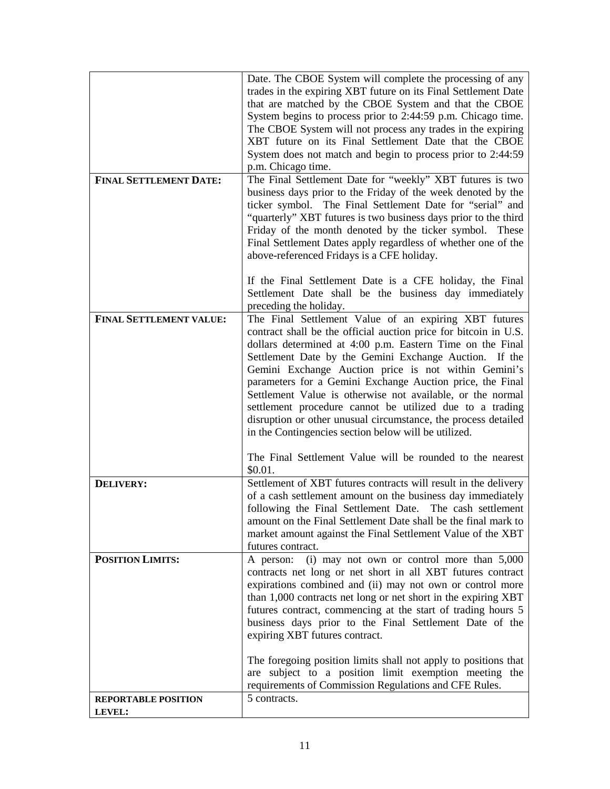|                                | Date. The CBOE System will complete the processing of any<br>trades in the expiring XBT future on its Final Settlement Date |
|--------------------------------|-----------------------------------------------------------------------------------------------------------------------------|
|                                | that are matched by the CBOE System and that the CBOE                                                                       |
|                                | System begins to process prior to 2:44:59 p.m. Chicago time.                                                                |
|                                | The CBOE System will not process any trades in the expiring<br>XBT future on its Final Settlement Date that the CBOE        |
|                                | System does not match and begin to process prior to 2:44:59                                                                 |
|                                | p.m. Chicago time.                                                                                                          |
| <b>FINAL SETTLEMENT DATE:</b>  | The Final Settlement Date for "weekly" XBT futures is two                                                                   |
|                                | business days prior to the Friday of the week denoted by the<br>ticker symbol. The Final Settlement Date for "serial" and   |
|                                | "quarterly" XBT futures is two business days prior to the third                                                             |
|                                | Friday of the month denoted by the ticker symbol. These                                                                     |
|                                | Final Settlement Dates apply regardless of whether one of the                                                               |
|                                | above-referenced Fridays is a CFE holiday.                                                                                  |
|                                | If the Final Settlement Date is a CFE holiday, the Final                                                                    |
|                                | Settlement Date shall be the business day immediately                                                                       |
|                                | preceding the holiday.                                                                                                      |
| <b>FINAL SETTLEMENT VALUE:</b> | The Final Settlement Value of an expiring XBT futures<br>contract shall be the official auction price for bitcoin in U.S.   |
|                                | dollars determined at 4:00 p.m. Eastern Time on the Final                                                                   |
|                                | Settlement Date by the Gemini Exchange Auction. If the                                                                      |
|                                | Gemini Exchange Auction price is not within Gemini's                                                                        |
|                                | parameters for a Gemini Exchange Auction price, the Final<br>Settlement Value is otherwise not available, or the normal     |
|                                | settlement procedure cannot be utilized due to a trading                                                                    |
|                                | disruption or other unusual circumstance, the process detailed                                                              |
|                                | in the Contingencies section below will be utilized.                                                                        |
|                                | The Final Settlement Value will be rounded to the nearest                                                                   |
|                                | \$0.01.                                                                                                                     |
| DELIVERY:                      | Settlement of XBT futures contracts will result in the delivery                                                             |
|                                | of a cash settlement amount on the business day immediately<br>following the Final Settlement Date. The cash settlement     |
|                                | amount on the Final Settlement Date shall be the final mark to                                                              |
|                                | market amount against the Final Settlement Value of the XBT                                                                 |
|                                | futures contract.                                                                                                           |
| <b>POSITION LIMITS:</b>        | (i) may not own or control more than $5,000$<br>A person:<br>contracts net long or net short in all XBT futures contract    |
|                                | expirations combined and (ii) may not own or control more                                                                   |
|                                | than 1,000 contracts net long or net short in the expiring XBT                                                              |
|                                | futures contract, commencing at the start of trading hours 5                                                                |
|                                | business days prior to the Final Settlement Date of the<br>expiring XBT futures contract.                                   |
|                                |                                                                                                                             |
|                                | The foregoing position limits shall not apply to positions that                                                             |
|                                | are subject to a position limit exemption meeting the                                                                       |
| <b>REPORTABLE POSITION</b>     | requirements of Commission Regulations and CFE Rules.<br>5 contracts.                                                       |
| LEVEL:                         |                                                                                                                             |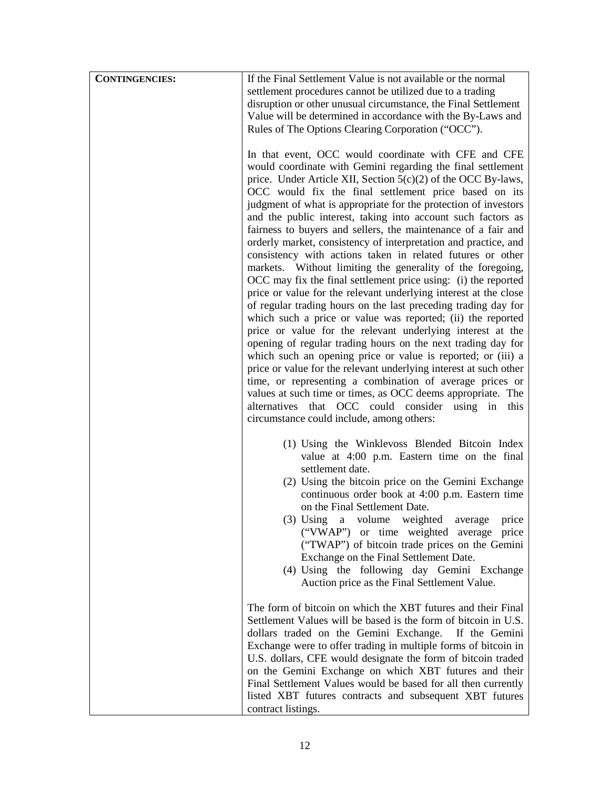| <b>CONTINGENCIES:</b> | If the Final Settlement Value is not available or the normal<br>settlement procedures cannot be utilized due to a trading<br>disruption or other unusual circumstance, the Final Settlement<br>Value will be determined in accordance with the By-Laws and<br>Rules of The Options Clearing Corporation ("OCC").                                                                                                                                                                                                                                                                                                                                                                                                                                                                                                                                                                                                                                                                                                                                                                                                                                                                                                                                                                                                                                                                                                           |
|-----------------------|----------------------------------------------------------------------------------------------------------------------------------------------------------------------------------------------------------------------------------------------------------------------------------------------------------------------------------------------------------------------------------------------------------------------------------------------------------------------------------------------------------------------------------------------------------------------------------------------------------------------------------------------------------------------------------------------------------------------------------------------------------------------------------------------------------------------------------------------------------------------------------------------------------------------------------------------------------------------------------------------------------------------------------------------------------------------------------------------------------------------------------------------------------------------------------------------------------------------------------------------------------------------------------------------------------------------------------------------------------------------------------------------------------------------------|
|                       | In that event, OCC would coordinate with CFE and CFE<br>would coordinate with Gemini regarding the final settlement<br>price. Under Article XII, Section $5(c)(2)$ of the OCC By-laws,<br>OCC would fix the final settlement price based on its<br>judgment of what is appropriate for the protection of investors<br>and the public interest, taking into account such factors as<br>fairness to buyers and sellers, the maintenance of a fair and<br>orderly market, consistency of interpretation and practice, and<br>consistency with actions taken in related futures or other<br>markets. Without limiting the generality of the foregoing,<br>OCC may fix the final settlement price using: (i) the reported<br>price or value for the relevant underlying interest at the close<br>of regular trading hours on the last preceding trading day for<br>which such a price or value was reported; (ii) the reported<br>price or value for the relevant underlying interest at the<br>opening of regular trading hours on the next trading day for<br>which such an opening price or value is reported; or (iii) a<br>price or value for the relevant underlying interest at such other<br>time, or representing a combination of average prices or<br>values at such time or times, as OCC deems appropriate. The<br>alternatives that OCC could consider using in this<br>circumstance could include, among others: |
|                       | (1) Using the Winklevoss Blended Bitcoin Index<br>value at 4:00 p.m. Eastern time on the final<br>settlement date.<br>(2) Using the bitcoin price on the Gemini Exchange<br>continuous order book at 4:00 p.m. Eastern time<br>on the Final Settlement Date.<br>(3) Using a volume weighted average price<br>("VWAP") or time weighted average price<br>("TWAP") of bitcoin trade prices on the Gemini<br>Exchange on the Final Settlement Date.<br>(4) Using the following day Gemini Exchange<br>Auction price as the Final Settlement Value.                                                                                                                                                                                                                                                                                                                                                                                                                                                                                                                                                                                                                                                                                                                                                                                                                                                                            |
|                       | The form of bitcoin on which the XBT futures and their Final<br>Settlement Values will be based is the form of bitcoin in U.S.<br>dollars traded on the Gemini Exchange. If the Gemini<br>Exchange were to offer trading in multiple forms of bitcoin in<br>U.S. dollars, CFE would designate the form of bitcoin traded<br>on the Gemini Exchange on which XBT futures and their<br>Final Settlement Values would be based for all then currently<br>listed XBT futures contracts and subsequent XBT futures<br>contract listings.                                                                                                                                                                                                                                                                                                                                                                                                                                                                                                                                                                                                                                                                                                                                                                                                                                                                                        |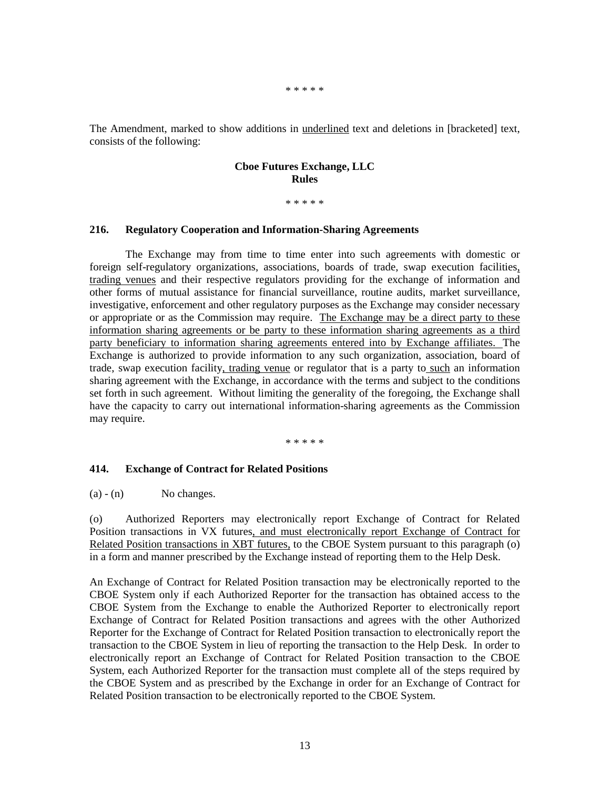#### \* \* \* \* \*

The Amendment, marked to show additions in underlined text and deletions in [bracketed] text, consists of the following:

### **Cboe Futures Exchange, LLC Rules**

\* \* \* \* \*

## **216. Regulatory Cooperation and Information-Sharing Agreements**

The Exchange may from time to time enter into such agreements with domestic or foreign self-regulatory organizations, associations, boards of trade, swap execution facilities, trading venues and their respective regulators providing for the exchange of information and other forms of mutual assistance for financial surveillance, routine audits, market surveillance, investigative, enforcement and other regulatory purposes as the Exchange may consider necessary or appropriate or as the Commission may require. The Exchange may be a direct party to these information sharing agreements or be party to these information sharing agreements as a third party beneficiary to information sharing agreements entered into by Exchange affiliates. The Exchange is authorized to provide information to any such organization, association, board of trade, swap execution facility, trading venue or regulator that is a party to such an information sharing agreement with the Exchange, in accordance with the terms and subject to the conditions set forth in such agreement. Without limiting the generality of the foregoing, the Exchange shall have the capacity to carry out international information-sharing agreements as the Commission may require.

\* \* \* \* \*

### **414. Exchange of Contract for Related Positions**

 $(a) - (n)$  No changes.

(o) Authorized Reporters may electronically report Exchange of Contract for Related Position transactions in VX futures, and must electronically report Exchange of Contract for Related Position transactions in XBT futures, to the CBOE System pursuant to this paragraph (o) in a form and manner prescribed by the Exchange instead of reporting them to the Help Desk.

An Exchange of Contract for Related Position transaction may be electronically reported to the CBOE System only if each Authorized Reporter for the transaction has obtained access to the CBOE System from the Exchange to enable the Authorized Reporter to electronically report Exchange of Contract for Related Position transactions and agrees with the other Authorized Reporter for the Exchange of Contract for Related Position transaction to electronically report the transaction to the CBOE System in lieu of reporting the transaction to the Help Desk. In order to electronically report an Exchange of Contract for Related Position transaction to the CBOE System, each Authorized Reporter for the transaction must complete all of the steps required by the CBOE System and as prescribed by the Exchange in order for an Exchange of Contract for Related Position transaction to be electronically reported to the CBOE System.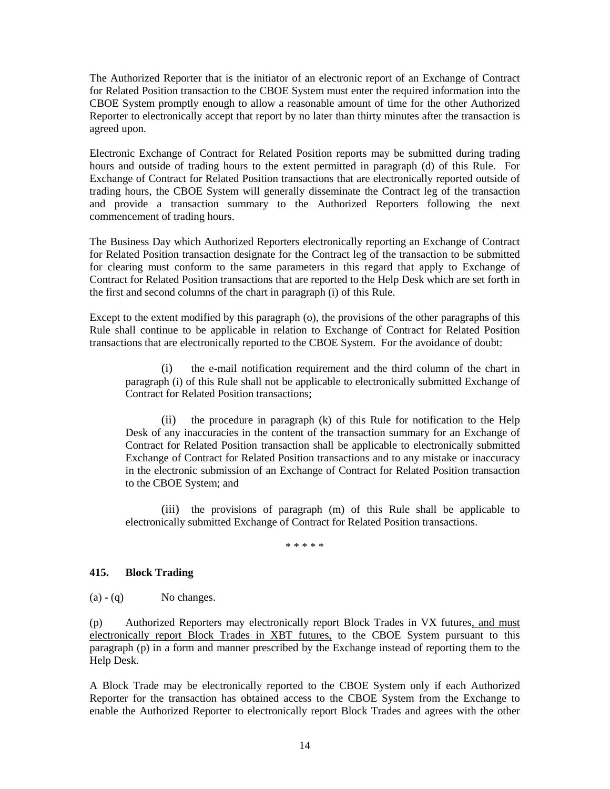The Authorized Reporter that is the initiator of an electronic report of an Exchange of Contract for Related Position transaction to the CBOE System must enter the required information into the CBOE System promptly enough to allow a reasonable amount of time for the other Authorized Reporter to electronically accept that report by no later than thirty minutes after the transaction is agreed upon.

Electronic Exchange of Contract for Related Position reports may be submitted during trading hours and outside of trading hours to the extent permitted in paragraph (d) of this Rule. For Exchange of Contract for Related Position transactions that are electronically reported outside of trading hours, the CBOE System will generally disseminate the Contract leg of the transaction and provide a transaction summary to the Authorized Reporters following the next commencement of trading hours.

The Business Day which Authorized Reporters electronically reporting an Exchange of Contract for Related Position transaction designate for the Contract leg of the transaction to be submitted for clearing must conform to the same parameters in this regard that apply to Exchange of Contract for Related Position transactions that are reported to the Help Desk which are set forth in the first and second columns of the chart in paragraph (i) of this Rule.

Except to the extent modified by this paragraph (o), the provisions of the other paragraphs of this Rule shall continue to be applicable in relation to Exchange of Contract for Related Position transactions that are electronically reported to the CBOE System. For the avoidance of doubt:

(i) the e-mail notification requirement and the third column of the chart in paragraph (i) of this Rule shall not be applicable to electronically submitted Exchange of Contract for Related Position transactions;

(ii) the procedure in paragraph (k) of this Rule for notification to the Help Desk of any inaccuracies in the content of the transaction summary for an Exchange of Contract for Related Position transaction shall be applicable to electronically submitted Exchange of Contract for Related Position transactions and to any mistake or inaccuracy in the electronic submission of an Exchange of Contract for Related Position transaction to the CBOE System; and

(iii) the provisions of paragraph (m) of this Rule shall be applicable to electronically submitted Exchange of Contract for Related Position transactions.

\* \* \* \* \*

# **415. Block Trading**

 $(a) - (q)$  No changes.

(p) Authorized Reporters may electronically report Block Trades in VX futures, and must electronically report Block Trades in XBT futures, to the CBOE System pursuant to this paragraph (p) in a form and manner prescribed by the Exchange instead of reporting them to the Help Desk.

A Block Trade may be electronically reported to the CBOE System only if each Authorized Reporter for the transaction has obtained access to the CBOE System from the Exchange to enable the Authorized Reporter to electronically report Block Trades and agrees with the other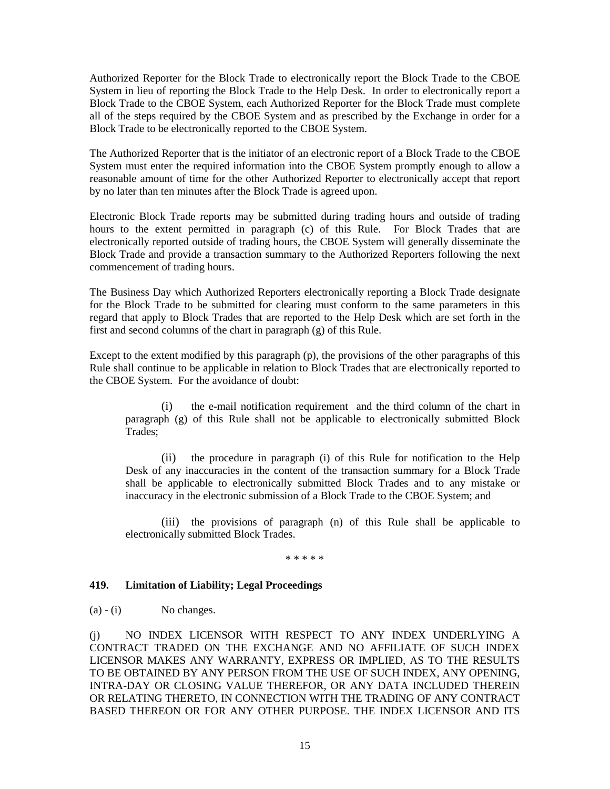Authorized Reporter for the Block Trade to electronically report the Block Trade to the CBOE System in lieu of reporting the Block Trade to the Help Desk. In order to electronically report a Block Trade to the CBOE System, each Authorized Reporter for the Block Trade must complete all of the steps required by the CBOE System and as prescribed by the Exchange in order for a Block Trade to be electronically reported to the CBOE System.

The Authorized Reporter that is the initiator of an electronic report of a Block Trade to the CBOE System must enter the required information into the CBOE System promptly enough to allow a reasonable amount of time for the other Authorized Reporter to electronically accept that report by no later than ten minutes after the Block Trade is agreed upon.

Electronic Block Trade reports may be submitted during trading hours and outside of trading hours to the extent permitted in paragraph (c) of this Rule. For Block Trades that are electronically reported outside of trading hours, the CBOE System will generally disseminate the Block Trade and provide a transaction summary to the Authorized Reporters following the next commencement of trading hours.

The Business Day which Authorized Reporters electronically reporting a Block Trade designate for the Block Trade to be submitted for clearing must conform to the same parameters in this regard that apply to Block Trades that are reported to the Help Desk which are set forth in the first and second columns of the chart in paragraph (g) of this Rule.

Except to the extent modified by this paragraph (p), the provisions of the other paragraphs of this Rule shall continue to be applicable in relation to Block Trades that are electronically reported to the CBOE System. For the avoidance of doubt:

(i) the e-mail notification requirement and the third column of the chart in paragraph (g) of this Rule shall not be applicable to electronically submitted Block Trades;

(ii) the procedure in paragraph (i) of this Rule for notification to the Help Desk of any inaccuracies in the content of the transaction summary for a Block Trade shall be applicable to electronically submitted Block Trades and to any mistake or inaccuracy in the electronic submission of a Block Trade to the CBOE System; and

(iii) the provisions of paragraph (n) of this Rule shall be applicable to electronically submitted Block Trades.

\* \* \* \* \*

# **419. Limitation of Liability; Legal Proceedings**

 $(a) - (i)$  No changes.

(j) NO INDEX LICENSOR WITH RESPECT TO ANY INDEX UNDERLYING A CONTRACT TRADED ON THE EXCHANGE AND NO AFFILIATE OF SUCH INDEX LICENSOR MAKES ANY WARRANTY, EXPRESS OR IMPLIED, AS TO THE RESULTS TO BE OBTAINED BY ANY PERSON FROM THE USE OF SUCH INDEX, ANY OPENING, INTRA-DAY OR CLOSING VALUE THEREFOR, OR ANY DATA INCLUDED THEREIN OR RELATING THERETO, IN CONNECTION WITH THE TRADING OF ANY CONTRACT BASED THEREON OR FOR ANY OTHER PURPOSE. THE INDEX LICENSOR AND ITS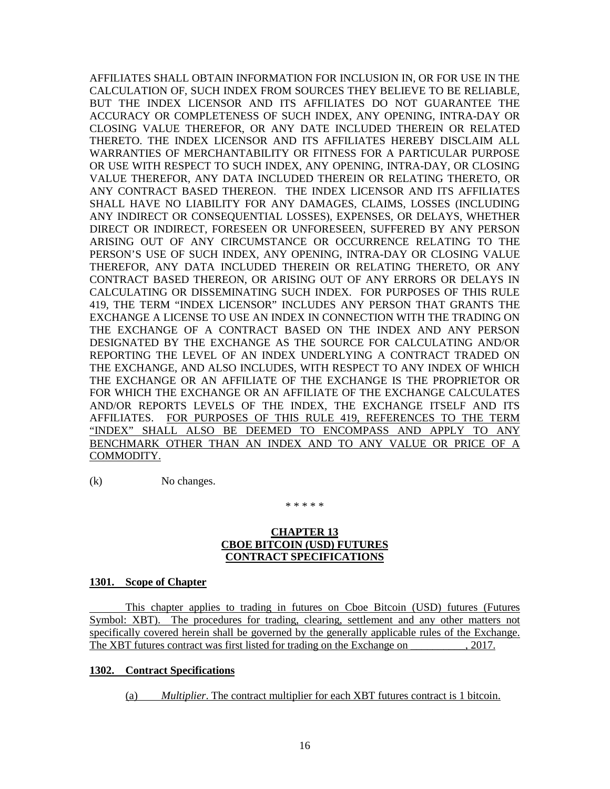AFFILIATES SHALL OBTAIN INFORMATION FOR INCLUSION IN, OR FOR USE IN THE CALCULATION OF, SUCH INDEX FROM SOURCES THEY BELIEVE TO BE RELIABLE, BUT THE INDEX LICENSOR AND ITS AFFILIATES DO NOT GUARANTEE THE ACCURACY OR COMPLETENESS OF SUCH INDEX, ANY OPENING, INTRA-DAY OR CLOSING VALUE THEREFOR, OR ANY DATE INCLUDED THEREIN OR RELATED THERETO. THE INDEX LICENSOR AND ITS AFFILIATES HEREBY DISCLAIM ALL WARRANTIES OF MERCHANTABILITY OR FITNESS FOR A PARTICULAR PURPOSE OR USE WITH RESPECT TO SUCH INDEX, ANY OPENING, INTRA-DAY, OR CLOSING VALUE THEREFOR, ANY DATA INCLUDED THEREIN OR RELATING THERETO, OR ANY CONTRACT BASED THEREON. THE INDEX LICENSOR AND ITS AFFILIATES SHALL HAVE NO LIABILITY FOR ANY DAMAGES, CLAIMS, LOSSES (INCLUDING ANY INDIRECT OR CONSEQUENTIAL LOSSES), EXPENSES, OR DELAYS, WHETHER DIRECT OR INDIRECT, FORESEEN OR UNFORESEEN, SUFFERED BY ANY PERSON ARISING OUT OF ANY CIRCUMSTANCE OR OCCURRENCE RELATING TO THE PERSON'S USE OF SUCH INDEX, ANY OPENING, INTRA-DAY OR CLOSING VALUE THEREFOR, ANY DATA INCLUDED THEREIN OR RELATING THERETO, OR ANY CONTRACT BASED THEREON, OR ARISING OUT OF ANY ERRORS OR DELAYS IN CALCULATING OR DISSEMINATING SUCH INDEX. FOR PURPOSES OF THIS RULE 419, THE TERM "INDEX LICENSOR" INCLUDES ANY PERSON THAT GRANTS THE EXCHANGE A LICENSE TO USE AN INDEX IN CONNECTION WITH THE TRADING ON THE EXCHANGE OF A CONTRACT BASED ON THE INDEX AND ANY PERSON DESIGNATED BY THE EXCHANGE AS THE SOURCE FOR CALCULATING AND/OR REPORTING THE LEVEL OF AN INDEX UNDERLYING A CONTRACT TRADED ON THE EXCHANGE, AND ALSO INCLUDES, WITH RESPECT TO ANY INDEX OF WHICH THE EXCHANGE OR AN AFFILIATE OF THE EXCHANGE IS THE PROPRIETOR OR FOR WHICH THE EXCHANGE OR AN AFFILIATE OF THE EXCHANGE CALCULATES AND/OR REPORTS LEVELS OF THE INDEX, THE EXCHANGE ITSELF AND ITS AFFILIATES. FOR PURPOSES OF THIS RULE 419, REFERENCES TO THE TERM "INDEX" SHALL ALSO BE DEEMED TO ENCOMPASS AND APPLY TO ANY BENCHMARK OTHER THAN AN INDEX AND TO ANY VALUE OR PRICE OF A COMMODITY.

(k) No changes.

\* \* \* \* \*

# **CHAPTER 13 CBOE BITCOIN (USD) FUTURES CONTRACT SPECIFICATIONS**

## **1301. Scope of Chapter**

This chapter applies to trading in futures on Cboe Bitcoin (USD) futures (Futures Symbol: XBT). The procedures for trading, clearing, settlement and any other matters not specifically covered herein shall be governed by the generally applicable rules of the Exchange. The XBT futures contract was first listed for trading on the Exchange on  $\frac{2017}{201}$ .

# **1302. Contract Specifications**

(a) *Multiplier*. The contract multiplier for each XBT futures contract is 1 bitcoin.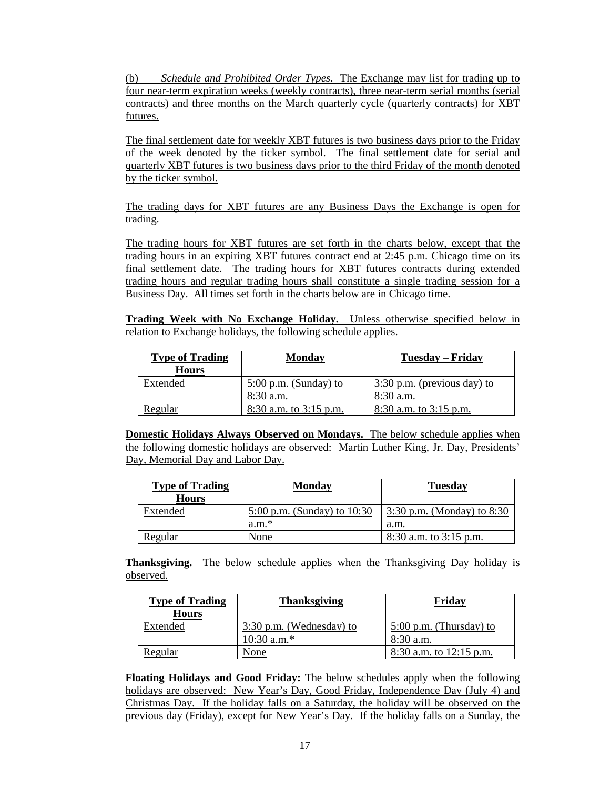(b) *Schedule and Prohibited Order Types*. The Exchange may list for trading up to four near-term expiration weeks (weekly contracts), three near-term serial months (serial contracts) and three months on the March quarterly cycle (quarterly contracts) for XBT futures.

The final settlement date for weekly XBT futures is two business days prior to the Friday of the week denoted by the ticker symbol. The final settlement date for serial and quarterly XBT futures is two business days prior to the third Friday of the month denoted by the ticker symbol.

The trading days for XBT futures are any Business Days the Exchange is open for trading.

The trading hours for XBT futures are set forth in the charts below, except that the trading hours in an expiring XBT futures contract end at 2:45 p.m. Chicago time on its final settlement date. The trading hours for XBT futures contracts during extended trading hours and regular trading hours shall constitute a single trading session for a Business Day. All times set forth in the charts below are in Chicago time.

**Trading Week with No Exchange Holiday.** Unless otherwise specified below in relation to Exchange holidays, the following schedule applies.

| <b>Type of Trading</b><br><b>Hours</b> | Monday                     | Tuesday – Friday              |
|----------------------------------------|----------------------------|-------------------------------|
| Extended                               | $5:00$ p.m. (Sunday) to    | $3:30$ p.m. (previous day) to |
|                                        | 8:30 a.m.                  | $8:30$ a.m.                   |
| <b>Regular</b>                         | $8:30$ a.m. to $3:15$ p.m. | $8:30$ a.m. to $3:15$ p.m.    |

**Domestic Holidays Always Observed on Mondays.** The below schedule applies when the following domestic holidays are observed: Martin Luther King, Jr. Day, Presidents' Day, Memorial Day and Labor Day.

| <b>Type of Trading</b><br><b>Hours</b> | <b>Monday</b>                 | <b>Tuesday</b>               |
|----------------------------------------|-------------------------------|------------------------------|
| Extended                               | 5:00 p.m. (Sunday) to $10:30$ | 3:30 p.m. (Monday) to $8:30$ |
|                                        | $a.m.*$                       | a.m.                         |
| <b>Regular</b>                         | None                          | $8:30$ a.m. to $3:15$ p.m.   |

**Thanksgiving.** The below schedule applies when the Thanksgiving Day holiday is observed.

| <b>Type of Trading</b><br><b>Hours</b> | <b>Thanksgiving</b>                         | Friday                                   |
|----------------------------------------|---------------------------------------------|------------------------------------------|
| Extended                               | $3:30$ p.m. (Wednesday) to<br>$10:30$ a.m.* | $5:00$ p.m. (Thursday) to<br>$8:30$ a.m. |
| <u>Regular</u>                         | None                                        | 8:30 a.m. to 12:15 p.m.                  |

**Floating Holidays and Good Friday:** The below schedules apply when the following holidays are observed: New Year's Day, Good Friday, Independence Day (July 4) and Christmas Day. If the holiday falls on a Saturday, the holiday will be observed on the previous day (Friday), except for New Year's Day. If the holiday falls on a Sunday, the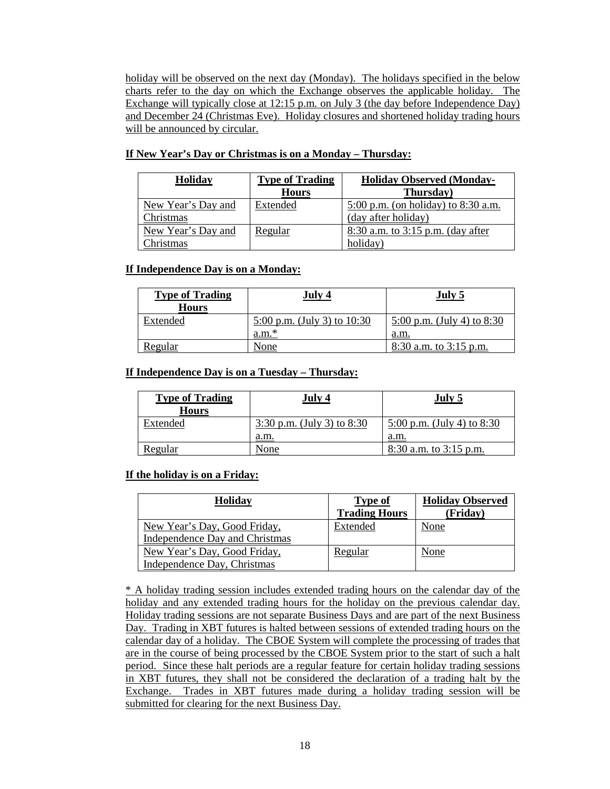holiday will be observed on the next day (Monday). The holidays specified in the below charts refer to the day on which the Exchange observes the applicable holiday. The Exchange will typically close at 12:15 p.m. on July 3 (the day before Independence Day) and December 24 (Christmas Eve). Holiday closures and shortened holiday trading hours will be announced by circular.

| If New Year's Day or Christmas is on a Monday - Thursday: |  |  |  |  |  |  |  |
|-----------------------------------------------------------|--|--|--|--|--|--|--|
|-----------------------------------------------------------|--|--|--|--|--|--|--|

| <b>Holiday</b>     | <b>Type of Trading</b> | <b>Holiday Observed (Monday-</b>      |
|--------------------|------------------------|---------------------------------------|
|                    | <b>Hours</b>           | Thursday)                             |
| New Year's Day and | Extended               | 5:00 p.m. (on holiday) to $8:30$ a.m. |
| Christmas          |                        | (day after holiday)                   |
| New Year's Day and | Regular                | 8:30 a.m. to $3:15$ p.m. (day after   |
| Christmas          |                        | holiday)                              |

# **If Independence Day is on a Monday:**

| <b>Type of Trading</b><br><b>Hours</b> | July 4                                     | July 5                             |
|----------------------------------------|--------------------------------------------|------------------------------------|
| Extended                               | $5:00$ p.m. (July 3) to $10:30$<br>$a.m.*$ | $5:00$ p.m. (July 4) to 8:30       |
| Regular                                | None                                       | a.m.<br>$8:30$ a.m. to $3:15$ p.m. |

# **If Independence Day is on a Tuesday – Thursday:**

| <b>Type of Trading</b><br><b>Hours</b> | July 4                       | July 5                     |
|----------------------------------------|------------------------------|----------------------------|
| Extended                               | 3:30 p.m. (July 3) to $8:30$ | 5:00 p.m. (July 4) to 8:30 |
|                                        | a.m.                         | a.m.                       |
| <b>Regular</b>                         | None                         | $8:30$ a.m. to $3:15$ p.m. |

# **If the holiday is on a Friday:**

| <b>Holiday</b>                                              | <b>Type of</b><br><b>Trading Hours</b> | <b>Holiday Observed</b><br>(Friday) |
|-------------------------------------------------------------|----------------------------------------|-------------------------------------|
| New Year's Day, Good Friday,                                | Extended                               | None                                |
| Independence Day and Christmas                              |                                        |                                     |
| New Year's Day, Good Friday,<br>Independence Day, Christmas | Regular                                | None                                |

\* A holiday trading session includes extended trading hours on the calendar day of the holiday and any extended trading hours for the holiday on the previous calendar day. Holiday trading sessions are not separate Business Days and are part of the next Business Day. Trading in XBT futures is halted between sessions of extended trading hours on the calendar day of a holiday. The CBOE System will complete the processing of trades that are in the course of being processed by the CBOE System prior to the start of such a halt period. Since these halt periods are a regular feature for certain holiday trading sessions in XBT futures, they shall not be considered the declaration of a trading halt by the Exchange. Trades in XBT futures made during a holiday trading session will be submitted for clearing for the next Business Day.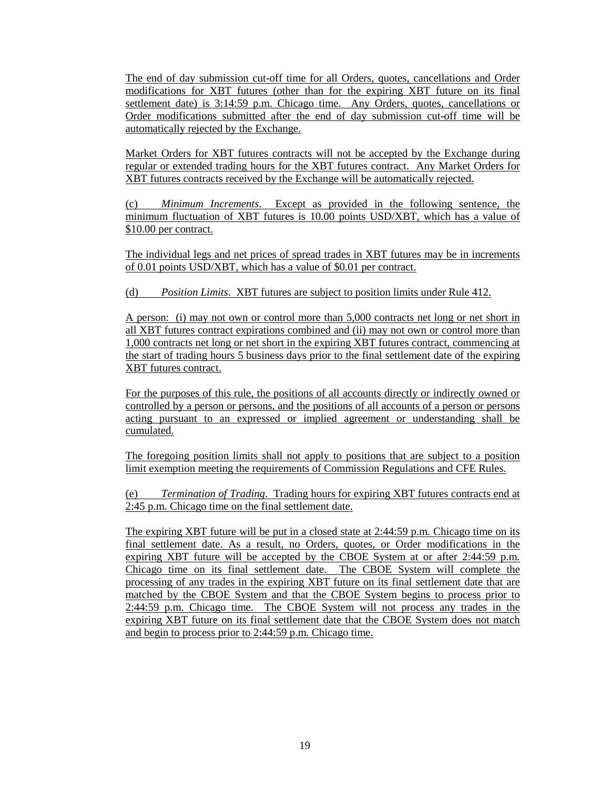The end of day submission cut-off time for all Orders, quotes, cancellations and Order modifications for XBT futures (other than for the expiring XBT future on its final settlement date) is 3:14:59 p.m. Chicago time. Any Orders, quotes, cancellations or Order modifications submitted after the end of day submission cut-off time will be automatically rejected by the Exchange.

Market Orders for XBT futures contracts will not be accepted by the Exchange during regular or extended trading hours for the XBT futures contract. Any Market Orders for XBT futures contracts received by the Exchange will be automatically rejected.

(c) *Minimum Increments*. Except as provided in the following sentence, the minimum fluctuation of XBT futures is 10.00 points USD/XBT, which has a value of \$10.00 per contract.

The individual legs and net prices of spread trades in XBT futures may be in increments of 0.01 points USD/XBT, which has a value of \$0.01 per contract.

# (d) *Position Limits*. XBT futures are subject to position limits under Rule 412.

A person: (i) may not own or control more than 5,000 contracts net long or net short in all XBT futures contract expirations combined and (ii) may not own or control more than 1,000 contracts net long or net short in the expiring XBT futures contract, commencing at the start of trading hours 5 business days prior to the final settlement date of the expiring XBT futures contract.

For the purposes of this rule, the positions of all accounts directly or indirectly owned or controlled by a person or persons, and the positions of all accounts of a person or persons acting pursuant to an expressed or implied agreement or understanding shall be cumulated.

The foregoing position limits shall not apply to positions that are subject to a position limit exemption meeting the requirements of Commission Regulations and CFE Rules.

(e) *Termination of Trading*. Trading hours for expiring XBT futures contracts end at 2:45 p.m. Chicago time on the final settlement date.

The expiring XBT future will be put in a closed state at 2:44:59 p.m. Chicago time on its final settlement date. As a result, no Orders, quotes, or Order modifications in the expiring XBT future will be accepted by the CBOE System at or after 2:44:59 p.m. Chicago time on its final settlement date. The CBOE System will complete the processing of any trades in the expiring XBT future on its final settlement date that are matched by the CBOE System and that the CBOE System begins to process prior to 2:44:59 p.m. Chicago time. The CBOE System will not process any trades in the expiring XBT future on its final settlement date that the CBOE System does not match and begin to process prior to 2:44:59 p.m. Chicago time.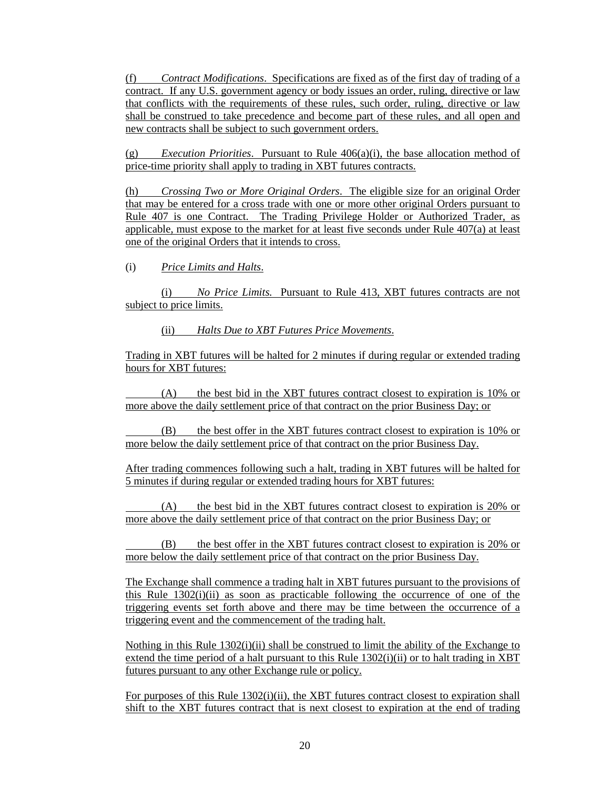(f) *Contract Modifications*. Specifications are fixed as of the first day of trading of a contract. If any U.S. government agency or body issues an order, ruling, directive or law that conflicts with the requirements of these rules, such order, ruling, directive or law shall be construed to take precedence and become part of these rules, and all open and new contracts shall be subject to such government orders.

(g) *Execution Priorities*. Pursuant to Rule 406(a)(i), the base allocation method of price-time priority shall apply to trading in XBT futures contracts.

(h) *Crossing Two or More Original Orders*. The eligible size for an original Order that may be entered for a cross trade with one or more other original Orders pursuant to Rule 407 is one Contract. The Trading Privilege Holder or Authorized Trader, as applicable, must expose to the market for at least five seconds under Rule  $407(a)$  at least one of the original Orders that it intends to cross.

(i) *Price Limits and Halts*.

(i) *No Price Limits.* Pursuant to Rule 413, XBT futures contracts are not subject to price limits.

(ii) *Halts Due to XBT Futures Price Movements*.

Trading in XBT futures will be halted for 2 minutes if during regular or extended trading hours for XBT futures:

(A) the best bid in the XBT futures contract closest to expiration is 10% or more above the daily settlement price of that contract on the prior Business Day; or

(B) the best offer in the XBT futures contract closest to expiration is 10% or more below the daily settlement price of that contract on the prior Business Day.

After trading commences following such a halt, trading in XBT futures will be halted for 5 minutes if during regular or extended trading hours for XBT futures:

(A) the best bid in the XBT futures contract closest to expiration is 20% or more above the daily settlement price of that contract on the prior Business Day; or

(B) the best offer in the XBT futures contract closest to expiration is 20% or more below the daily settlement price of that contract on the prior Business Day.

The Exchange shall commence a trading halt in XBT futures pursuant to the provisions of this Rule  $1302(i)(ii)$  as soon as practicable following the occurrence of one of the triggering events set forth above and there may be time between the occurrence of a triggering event and the commencement of the trading halt.

Nothing in this Rule  $1302(i)(ii)$  shall be construed to limit the ability of the Exchange to extend the time period of a halt pursuant to this Rule 1302(i)(ii) or to halt trading in XBT futures pursuant to any other Exchange rule or policy.

For purposes of this Rule 1302(i)(ii), the XBT futures contract closest to expiration shall shift to the XBT futures contract that is next closest to expiration at the end of trading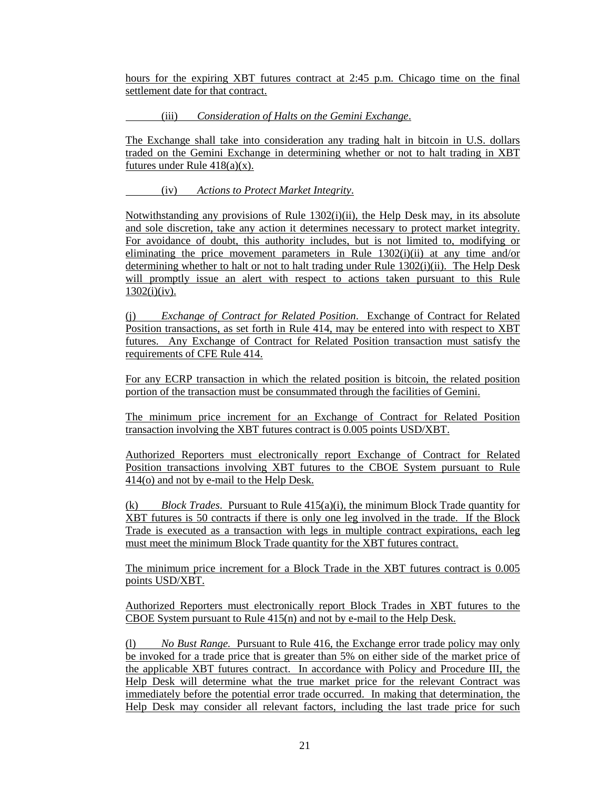hours for the expiring XBT futures contract at 2:45 p.m. Chicago time on the final settlement date for that contract.

(iii) *Consideration of Halts on the Gemini Exchange*.

The Exchange shall take into consideration any trading halt in bitcoin in U.S. dollars traded on the Gemini Exchange in determining whether or not to halt trading in XBT futures under Rule  $418(a)(x)$ .

(iv) *Actions to Protect Market Integrity*.

Notwithstanding any provisions of Rule 1302(i)(ii), the Help Desk may, in its absolute and sole discretion, take any action it determines necessary to protect market integrity. For avoidance of doubt, this authority includes, but is not limited to, modifying or eliminating the price movement parameters in Rule  $1302(i)(ii)$  at any time and/or determining whether to halt or not to halt trading under Rule 1302(i)(ii). The Help Desk will promptly issue an alert with respect to actions taken pursuant to this Rule  $1302(i)(iv)$ .

(j) *Exchange of Contract for Related Position*. Exchange of Contract for Related Position transactions, as set forth in Rule 414, may be entered into with respect to XBT futures. Any Exchange of Contract for Related Position transaction must satisfy the requirements of CFE Rule 414.

For any ECRP transaction in which the related position is bitcoin, the related position portion of the transaction must be consummated through the facilities of Gemini.

The minimum price increment for an Exchange of Contract for Related Position transaction involving the XBT futures contract is 0.005 points USD/XBT.

Authorized Reporters must electronically report Exchange of Contract for Related Position transactions involving XBT futures to the CBOE System pursuant to Rule 414(o) and not by e-mail to the Help Desk.

(k) *Block Trades*. Pursuant to Rule 415(a)(i), the minimum Block Trade quantity for XBT futures is 50 contracts if there is only one leg involved in the trade. If the Block Trade is executed as a transaction with legs in multiple contract expirations, each leg must meet the minimum Block Trade quantity for the XBT futures contract.

The minimum price increment for a Block Trade in the XBT futures contract is 0.005 points USD/XBT.

Authorized Reporters must electronically report Block Trades in XBT futures to the CBOE System pursuant to Rule 415(n) and not by e-mail to the Help Desk.

(l) *No Bust Range.* Pursuant to Rule 416, the Exchange error trade policy may only be invoked for a trade price that is greater than 5% on either side of the market price of the applicable XBT futures contract. In accordance with Policy and Procedure III, the Help Desk will determine what the true market price for the relevant Contract was immediately before the potential error trade occurred. In making that determination, the Help Desk may consider all relevant factors, including the last trade price for such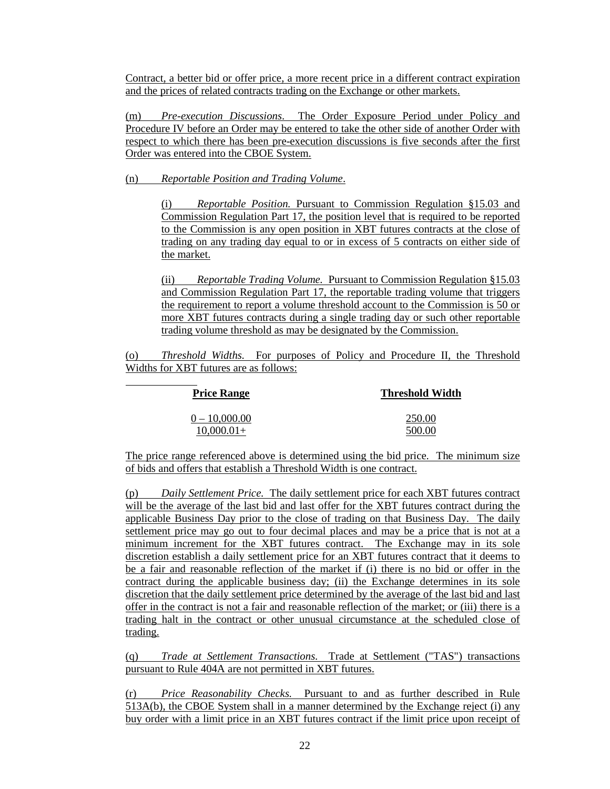Contract, a better bid or offer price, a more recent price in a different contract expiration and the prices of related contracts trading on the Exchange or other markets.

(m) *Pre-execution Discussions*. The Order Exposure Period under Policy and Procedure IV before an Order may be entered to take the other side of another Order with respect to which there has been pre-execution discussions is five seconds after the first Order was entered into the CBOE System.

(n) *Reportable Position and Trading Volume*.

(i) *Reportable Position.* Pursuant to Commission Regulation §15.03 and Commission Regulation Part 17, the position level that is required to be reported to the Commission is any open position in XBT futures contracts at the close of trading on any trading day equal to or in excess of 5 contracts on either side of the market.

(ii) *Reportable Trading Volume.* Pursuant to Commission Regulation §15.03 and Commission Regulation Part 17, the reportable trading volume that triggers the requirement to report a volume threshold account to the Commission is 50 or more XBT futures contracts during a single trading day or such other reportable trading volume threshold as may be designated by the Commission.

(o) *Threshold Widths.* For purposes of Policy and Procedure II, the Threshold Widths for XBT futures are as follows:

| <b>Price Range</b> | <b>Threshold Width</b> |
|--------------------|------------------------|
| $0 - 10,000.00$    | 250.00                 |
| $10,000.01+$       | 500.00                 |

The price range referenced above is determined using the bid price. The minimum size of bids and offers that establish a Threshold Width is one contract.

(p) *Daily Settlement Price.* The daily settlement price for each XBT futures contract will be the average of the last bid and last offer for the XBT futures contract during the applicable Business Day prior to the close of trading on that Business Day. The daily settlement price may go out to four decimal places and may be a price that is not at a minimum increment for the XBT futures contract. The Exchange may in its sole discretion establish a daily settlement price for an XBT futures contract that it deems to be a fair and reasonable reflection of the market if (i) there is no bid or offer in the contract during the applicable business day; (ii) the Exchange determines in its sole discretion that the daily settlement price determined by the average of the last bid and last offer in the contract is not a fair and reasonable reflection of the market; or (iii) there is a trading halt in the contract or other unusual circumstance at the scheduled close of trading.

(q) *Trade at Settlement Transactions.* Trade at Settlement ("TAS") transactions pursuant to Rule 404A are not permitted in XBT futures.

(r) *Price Reasonability Checks.* Pursuant to and as further described in Rule 513A(b), the CBOE System shall in a manner determined by the Exchange reject (i) any buy order with a limit price in an XBT futures contract if the limit price upon receipt of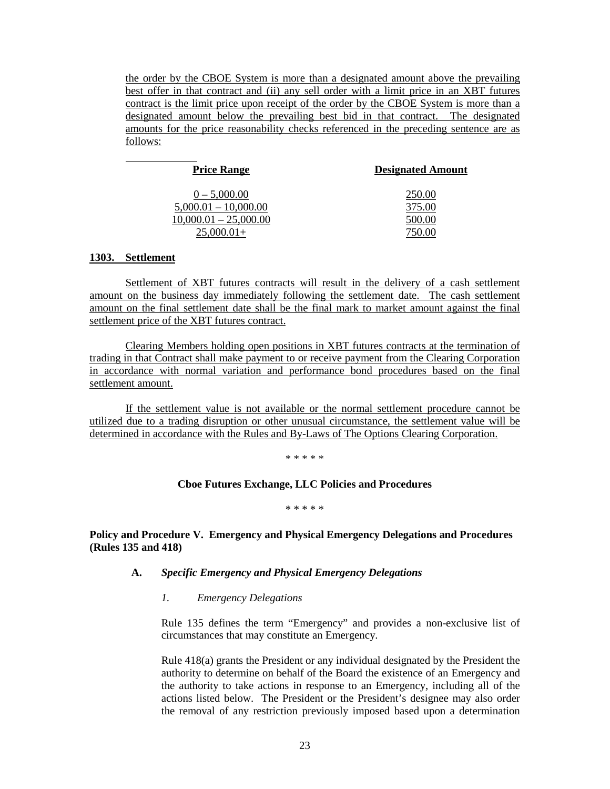the order by the CBOE System is more than a designated amount above the prevailing best offer in that contract and (ii) any sell order with a limit price in an XBT futures contract is the limit price upon receipt of the order by the CBOE System is more than a designated amount below the prevailing best bid in that contract. The designated amounts for the price reasonability checks referenced in the preceding sentence are as follows:

| <b>Price Range</b>      | <b>Designated Amount</b> |
|-------------------------|--------------------------|
| $0 - 5,000.00$          | 250.00                   |
| $5,000.01 - 10,000.00$  | 375.00                   |
| $10,000.01 - 25,000.00$ | 500.00                   |
| $25.000.01+$            |                          |

## **1303. Settlement**

Settlement of XBT futures contracts will result in the delivery of a cash settlement amount on the business day immediately following the settlement date. The cash settlement amount on the final settlement date shall be the final mark to market amount against the final settlement price of the XBT futures contract.

Clearing Members holding open positions in XBT futures contracts at the termination of trading in that Contract shall make payment to or receive payment from the Clearing Corporation in accordance with normal variation and performance bond procedures based on the final settlement amount.

If the settlement value is not available or the normal settlement procedure cannot be utilized due to a trading disruption or other unusual circumstance, the settlement value will be determined in accordance with the Rules and By-Laws of The Options Clearing Corporation.

\* \* \* \* \*

## **Cboe Futures Exchange, LLC Policies and Procedures**

\* \* \* \* \*

## **Policy and Procedure V. Emergency and Physical Emergency Delegations and Procedures (Rules 135 and 418)**

## **A.** *Specific Emergency and Physical Emergency Delegations*

*1. Emergency Delegations*

Rule 135 defines the term "Emergency" and provides a non-exclusive list of circumstances that may constitute an Emergency.

Rule 418(a) grants the President or any individual designated by the President the authority to determine on behalf of the Board the existence of an Emergency and the authority to take actions in response to an Emergency, including all of the actions listed below. The President or the President's designee may also order the removal of any restriction previously imposed based upon a determination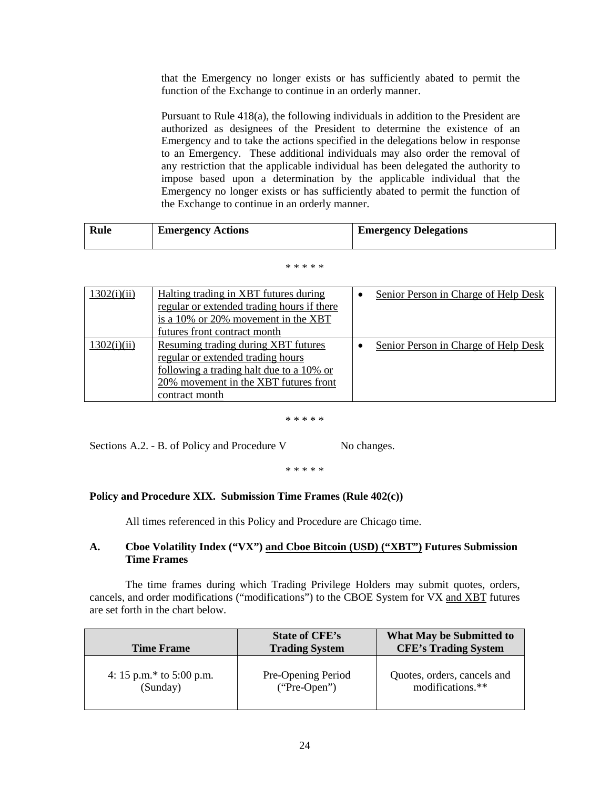that the Emergency no longer exists or has sufficiently abated to permit the function of the Exchange to continue in an orderly manner.

Pursuant to Rule 418(a), the following individuals in addition to the President are authorized as designees of the President to determine the existence of an Emergency and to take the actions specified in the delegations below in response to an Emergency. These additional individuals may also order the removal of any restriction that the applicable individual has been delegated the authority to impose based upon a determination by the applicable individual that the Emergency no longer exists or has sufficiently abated to permit the function of the Exchange to continue in an orderly manner.

| Rule | <b>Emergency Actions</b> | <b>Emergency Delegations</b> |
|------|--------------------------|------------------------------|
|      |                          |                              |

#### \* \* \* \* \*

| 1302(i)(ii) | Halting trading in XBT futures during<br>regular or extended trading hours if there<br>is a 10% or 20% movement in the XBT<br>futures front contract month                      | Senior Person in Charge of Help Desk |
|-------------|---------------------------------------------------------------------------------------------------------------------------------------------------------------------------------|--------------------------------------|
| 1302(i)(ii) | Resuming trading during XBT futures<br>regular or extended trading hours<br>following a trading halt due to a 10% or<br>20% movement in the XBT futures front<br>contract month | Senior Person in Charge of Help Desk |

### \* \* \* \* \*

Sections A.2. - B. of Policy and Procedure V No changes.

### \* \* \* \* \*

# **Policy and Procedure XIX. Submission Time Frames (Rule 402(c))**

All times referenced in this Policy and Procedure are Chicago time.

# **A. Cboe Volatility Index ("VX") and Cboe Bitcoin (USD) ("XBT") Futures Submission Time Frames**

The time frames during which Trading Privilege Holders may submit quotes, orders, cancels, and order modifications ("modifications") to the CBOE System for VX and XBT futures are set forth in the chart below.

| <b>Time Frame</b>        | <b>State of CFE's</b><br><b>Trading System</b> | What May be Submitted to<br><b>CFE's Trading System</b> |
|--------------------------|------------------------------------------------|---------------------------------------------------------|
| 4: 15 p.m.* to 5:00 p.m. | Pre-Opening Period                             | Quotes, orders, cancels and                             |
| (Sunday)                 | $("Pre-Open")$                                 | modifications.**                                        |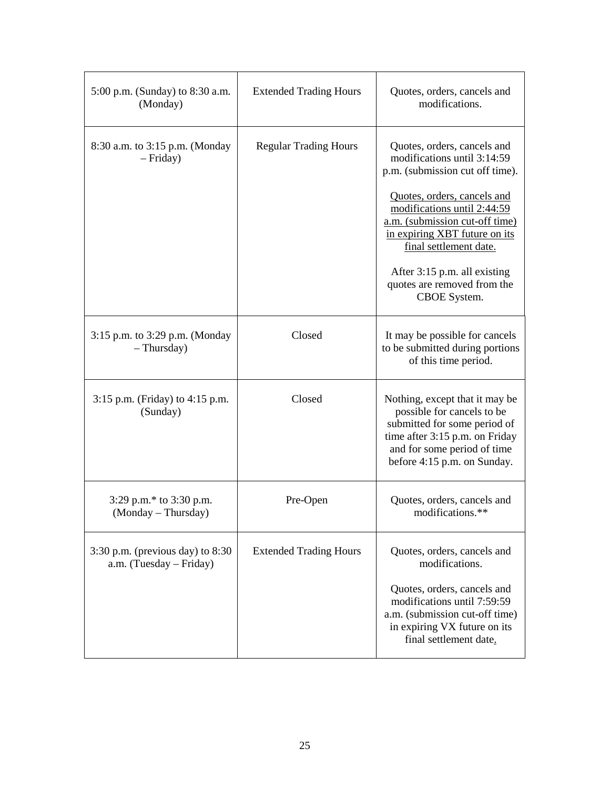| 5:00 p.m. (Sunday) to 8:30 a.m.<br>(Monday)                     | <b>Extended Trading Hours</b> | Quotes, orders, cancels and<br>modifications.                                                                                                                                                |
|-----------------------------------------------------------------|-------------------------------|----------------------------------------------------------------------------------------------------------------------------------------------------------------------------------------------|
| 8:30 a.m. to 3:15 p.m. (Monday<br>$-$ Friday)                   | <b>Regular Trading Hours</b>  | Quotes, orders, cancels and<br>modifications until 3:14:59<br>p.m. (submission cut off time).                                                                                                |
|                                                                 |                               | Quotes, orders, cancels and<br>modifications until 2:44:59<br>a.m. (submission cut-off time)<br>in expiring XBT future on its<br>final settlement date.                                      |
|                                                                 |                               | After 3:15 p.m. all existing<br>quotes are removed from the<br>CBOE System.                                                                                                                  |
| 3:15 p.m. to 3:29 p.m. (Monday<br>$-$ Thursday)                 | Closed                        | It may be possible for cancels<br>to be submitted during portions<br>of this time period.                                                                                                    |
| 3:15 p.m. (Friday) to 4:15 p.m.<br>(Sunday)                     | Closed                        | Nothing, except that it may be<br>possible for cancels to be<br>submitted for some period of<br>time after 3:15 p.m. on Friday<br>and for some period of time<br>before 4:15 p.m. on Sunday. |
| 3:29 p.m.* to 3:30 p.m.<br>(Monday – Thursday)                  | Pre-Open                      | Quotes, orders, cancels and<br>modifications.**                                                                                                                                              |
| $3:30$ p.m. (previous day) to $8:30$<br>a.m. (Tuesday – Friday) | <b>Extended Trading Hours</b> | Quotes, orders, cancels and<br>modifications.                                                                                                                                                |
|                                                                 |                               | Quotes, orders, cancels and<br>modifications until 7:59:59<br>a.m. (submission cut-off time)<br>in expiring VX future on its<br>final settlement date.                                       |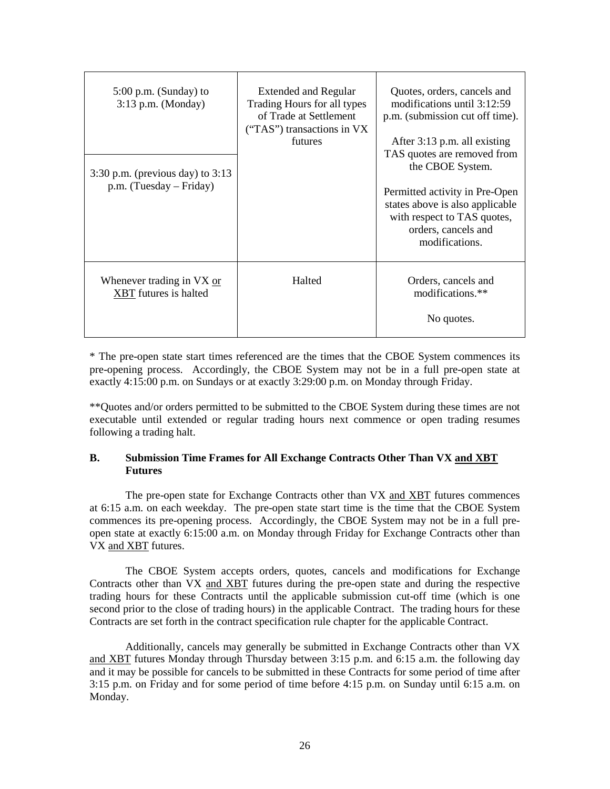| $5:00$ p.m. (Sunday) to<br>3:13 p.m. (Monday)<br>$3:30$ p.m. (previous day) to $3:13$<br>$p.m.$ (Tuesday – Friday) | <b>Extended and Regular</b><br>Trading Hours for all types<br>of Trade at Settlement<br>("TAS") transactions in VX<br>futures | Quotes, orders, cancels and<br>modifications until 3:12:59<br>p.m. (submission cut off time).<br>After 3:13 p.m. all existing<br>TAS quotes are removed from<br>the CBOE System.<br>Permitted activity in Pre-Open<br>states above is also applicable<br>with respect to TAS quotes,<br>orders, cancels and<br>modifications. |
|--------------------------------------------------------------------------------------------------------------------|-------------------------------------------------------------------------------------------------------------------------------|-------------------------------------------------------------------------------------------------------------------------------------------------------------------------------------------------------------------------------------------------------------------------------------------------------------------------------|
| Whenever trading in VX or<br><b>XBT</b> futures is halted                                                          | Halted                                                                                                                        | Orders, cancels and<br>modifications.**<br>No quotes.                                                                                                                                                                                                                                                                         |

\* The pre-open state start times referenced are the times that the CBOE System commences its pre-opening process. Accordingly, the CBOE System may not be in a full pre-open state at exactly 4:15:00 p.m. on Sundays or at exactly 3:29:00 p.m. on Monday through Friday.

\*\*Quotes and/or orders permitted to be submitted to the CBOE System during these times are not executable until extended or regular trading hours next commence or open trading resumes following a trading halt.

# **B. Submission Time Frames for All Exchange Contracts Other Than VX and XBT Futures**

The pre-open state for Exchange Contracts other than VX and XBT futures commences at 6:15 a.m. on each weekday. The pre-open state start time is the time that the CBOE System commences its pre-opening process. Accordingly, the CBOE System may not be in a full preopen state at exactly 6:15:00 a.m. on Monday through Friday for Exchange Contracts other than VX and XBT futures.

The CBOE System accepts orders, quotes, cancels and modifications for Exchange Contracts other than VX and XBT futures during the pre-open state and during the respective trading hours for these Contracts until the applicable submission cut-off time (which is one second prior to the close of trading hours) in the applicable Contract. The trading hours for these Contracts are set forth in the contract specification rule chapter for the applicable Contract.

Additionally, cancels may generally be submitted in Exchange Contracts other than VX and XBT futures Monday through Thursday between 3:15 p.m. and 6:15 a.m. the following day and it may be possible for cancels to be submitted in these Contracts for some period of time after 3:15 p.m. on Friday and for some period of time before 4:15 p.m. on Sunday until 6:15 a.m. on Monday.